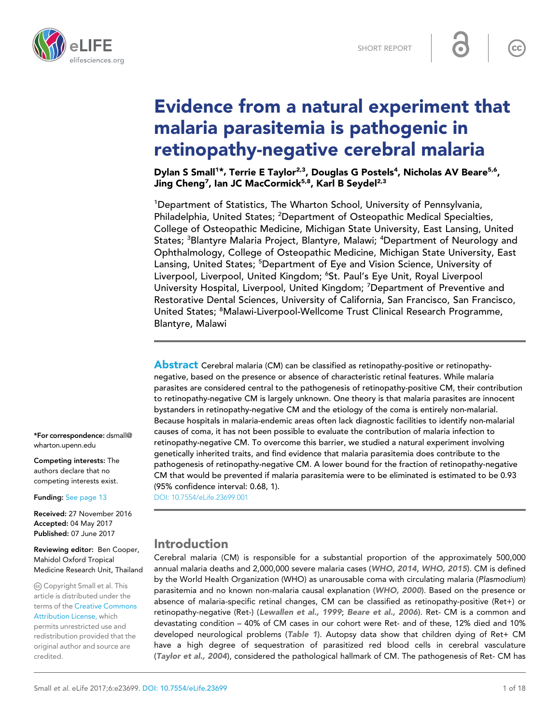

# Evidence from a natural experiment that malaria parasitemia is pathogenic in retinopathy-negative cerebral malaria

Dylan S Small<sup>1\*</sup>, Terrie E Taylor<sup>2,3</sup>, Douglas G Postels<sup>4</sup>, Nicholas AV Beare<sup>5,6</sup>, Jing Cheng<sup>7</sup>, Ian JC MacCormick<sup>5,8</sup>, Karl B Seydel<sup>2,3</sup>

<sup>1</sup>Department of Statistics, The Wharton School, University of Pennsylvania, Philadelphia, United States; <sup>2</sup>Department of Osteopathic Medical Specialties, College of Osteopathic Medicine, Michigan State University, East Lansing, United States; <sup>3</sup>Blantyre Malaria Project, Blantyre, Malawi; <sup>4</sup>Department of Neurology and Ophthalmology, College of Osteopathic Medicine, Michigan State University, East Lansing, United States; <sup>5</sup>Department of Eye and Vision Science, University of Liverpool, Liverpool, United Kingdom; <sup>6</sup>St. Paul's Eye Unit, Royal Liverpool University Hospital, Liverpool, United Kingdom; <sup>7</sup>Department of Preventive and Restorative Dental Sciences, University of California, San Francisco, San Francisco, United States; <sup>8</sup>Malawi-Liverpool-Wellcome Trust Clinical Research Programme, Blantyre, Malawi

**Abstract** Cerebral malaria (CM) can be classified as retinopathy-positive or retinopathynegative, based on the presence or absence of characteristic retinal features. While malaria parasites are considered central to the pathogenesis of retinopathy-positive CM, their contribution to retinopathy-negative CM is largely unknown. One theory is that malaria parasites are innocent bystanders in retinopathy-negative CM and the etiology of the coma is entirely non-malarial. Because hospitals in malaria-endemic areas often lack diagnostic facilities to identify non-malarial causes of coma, it has not been possible to evaluate the contribution of malaria infection to retinopathy-negative CM. To overcome this barrier, we studied a natural experiment involving genetically inherited traits, and find evidence that malaria parasitemia does contribute to the pathogenesis of retinopathy-negative CM. A lower bound for the fraction of retinopathy-negative CM that would be prevented if malaria parasitemia were to be eliminated is estimated to be 0.93 (95% confidence interval: 0.68, 1).

[DOI: 10.7554/eLife.23699.001](http://dx.doi.org/10.7554/eLife.23699.001)

# Introduction

Cerebral malaria (CM) is responsible for a substantial proportion of the approximately 500,000 annual malaria deaths and 2,000,000 severe malaria cases ([WHO, 2014](#page-14-0), [WHO, 2015](#page-14-0)). CM is defined by the World Health Organization (WHO) as unarousable coma with circulating malaria (*Plasmodium*) parasitemia and no known non-malaria causal explanation ([WHO, 2000](#page-14-0)). Based on the presence or absence of malaria-specific retinal changes, CM can be classified as retinopathy-positive (Ret+) or retinopathy-negative (Ret-) ([Lewallen et al., 1999](#page-13-0); [Beare et al., 2006](#page-13-0)). Ret- CM is a common and devastating condition – 40% of CM cases in our cohort were Ret- and of these, 12% died and 10% developed neurological problems ([Table 1](#page-2-0)). Autopsy data show that children dying of Ret+ CM have a high degree of sequestration of parasitized red blood cells in cerebral vasculature ([Taylor et al., 2004](#page-14-0)), considered the pathological hallmark of CM. The pathogenesis of Ret- CM has

\*For correspondence: dsmall@ wharton.upenn.edu

Competing interests: The authors declare that no competing interests exist.

Funding: [See page 13](#page-12-0)

Received: 27 November 2016 Accepted: 04 May 2017 Published: 07 June 2017

#### Reviewing editor: Ben Cooper, Mahidol Oxford Tropical Medicine Research Unit, Thailand

Copyright Small et al. This article is distributed under the terms of the [Creative Commons](http://creativecommons.org/licenses/by/4.0/) [Attribution License,](http://creativecommons.org/licenses/by/4.0/) which

permits unrestricted use and redistribution provided that the original author and source are credited.

 $\overline{\mathsf{cc}}$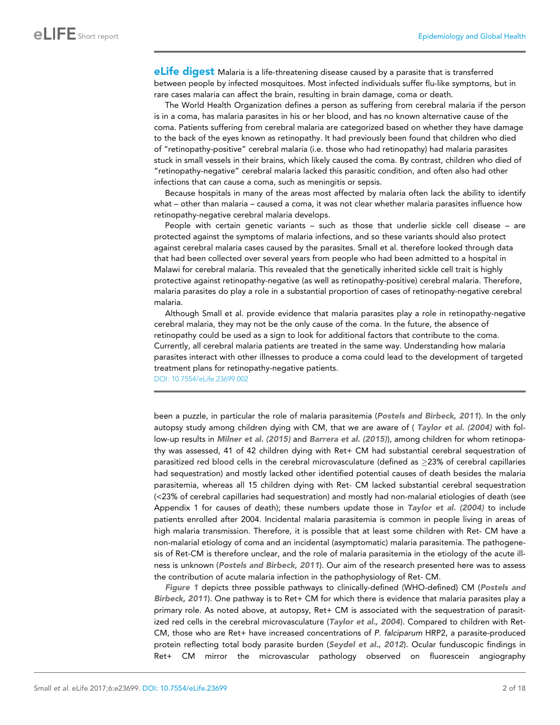**eLife digest** Malaria is a life-threatening disease caused by a parasite that is transferred between people by infected mosquitoes. Most infected individuals suffer flu-like symptoms, but in rare cases malaria can affect the brain, resulting in brain damage, coma or death.

The World Health Organization defines a person as suffering from cerebral malaria if the person is in a coma, has malaria parasites in his or her blood, and has no known alternative cause of the coma. Patients suffering from cerebral malaria are categorized based on whether they have damage to the back of the eyes known as retinopathy. It had previously been found that children who died of "retinopathy-positive" cerebral malaria (i.e. those who had retinopathy) had malaria parasites stuck in small vessels in their brains, which likely caused the coma. By contrast, children who died of "retinopathy-negative" cerebral malaria lacked this parasitic condition, and often also had other infections that can cause a coma, such as meningitis or sepsis.

Because hospitals in many of the areas most affected by malaria often lack the ability to identify what – other than malaria – caused a coma, it was not clear whether malaria parasites influence how retinopathy-negative cerebral malaria develops.

People with certain genetic variants – such as those that underlie sickle cell disease – are protected against the symptoms of malaria infections, and so these variants should also protect against cerebral malaria cases caused by the parasites. Small et al. therefore looked through data that had been collected over several years from people who had been admitted to a hospital in Malawi for cerebral malaria. This revealed that the genetically inherited sickle cell trait is highly protective against retinopathy-negative (as well as retinopathy-positive) cerebral malaria. Therefore, malaria parasites do play a role in a substantial proportion of cases of retinopathy-negative cerebral malaria.

Although Small et al. provide evidence that malaria parasites play a role in retinopathy-negative cerebral malaria, they may not be the only cause of the coma. In the future, the absence of retinopathy could be used as a sign to look for additional factors that contribute to the coma. Currently, all cerebral malaria patients are treated in the same way. Understanding how malaria parasites interact with other illnesses to produce a coma could lead to the development of targeted treatment plans for retinopathy-negative patients.

[DOI: 10.7554/eLife.23699.002](http://dx.doi.org/10.7554/eLife.23699.002)

been a puzzle, in particular the role of malaria parasitemia ([Postels and Birbeck, 2011](#page-14-0)). In the only autopsy study among children dying with CM, that we are aware of ( [Taylor et al. \(2004\)](#page-14-0) with follow-up results in [Milner et al. \(2015\)](#page-14-0) and [Barrera et al. \(2015\)](#page-13-0)), among children for whom retinopathy was assessed, 41 of 42 children dying with Ret+ CM had substantial cerebral sequestration of parasitized red blood cells in the cerebral microvasculature (defined as 23% of cerebral capillaries had sequestration) and mostly lacked other identified potential causes of death besides the malaria parasitemia, whereas all 15 children dying with Ret- CM lacked substantial cerebral sequestration (<23% of cerebral capillaries had sequestration) and mostly had non-malarial etiologies of death (see Appendix 1 for causes of death); these numbers update those in [Taylor et al. \(2004\)](#page-14-0) to include patients enrolled after 2004. Incidental malaria parasitemia is common in people living in areas of high malaria transmission. Therefore, it is possible that at least some children with Ret- CM have a non-malarial etiology of coma and an incidental (asymptomatic) malaria parasitemia. The pathogenesis of Ret-CM is therefore unclear, and the role of malaria parasitemia in the etiology of the acute illness is unknown ([Postels and Birbeck, 2011](#page-14-0)). Our aim of the research presented here was to assess the contribution of acute malaria infection in the pathophysiology of Ret- CM.

[Figure 1](#page-3-0) depicts three possible pathways to clinically-defined (WHO-defined) CM ([Postels and](#page-14-0) [Birbeck, 2011](#page-14-0)). One pathway is to Ret+ CM for which there is evidence that malaria parasites play a primary role. As noted above, at autopsy, Ret+ CM is associated with the sequestration of parasit-ized red cells in the cerebral microvasculature ([Taylor et al., 2004](#page-14-0)). Compared to children with Ret-CM, those who are Ret+ have increased concentrations of *P. falciparum* HRP2, a parasite-produced protein reflecting total body parasite burden ([Seydel et al., 2012](#page-14-0)). Ocular funduscopic findings in Ret+ CM mirror the microvascular pathology observed on fluorescein angiography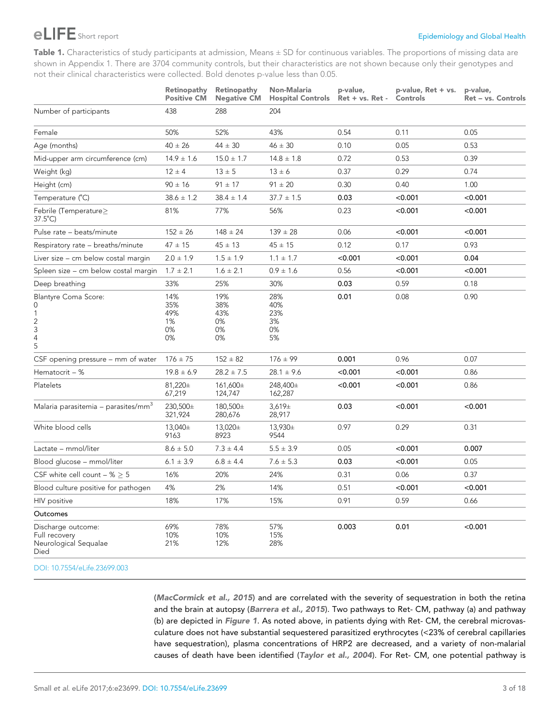# <span id="page-2-0"></span>EXAPPE Short report **Example 2008** Short report **Example 2009** Short report of the short report of the short report of the short report of the short report of the short report of the short report of the short report of the

Table 1. Characteristics of study participants at admission, Means  $\pm$  SD for continuous variables. The proportions of missing data are shown in Appendix 1. There are 3704 community controls, but their characteristics are not shown because only their genotypes and not their clinical characteristics were collected. Bold denotes p-value less than 0.05.

|                                                                        | Retinopathy<br><b>Positive CM</b>   | Retinopathy<br><b>Negative CM</b>   | Non-Malaria<br><b>Hospital Controls</b> | p-value,<br>Ret + vs. Ret - | p-value, Ret + vs.<br>Controls | p-value,<br>Ret - vs. Controls |
|------------------------------------------------------------------------|-------------------------------------|-------------------------------------|-----------------------------------------|-----------------------------|--------------------------------|--------------------------------|
| Number of participants                                                 | 438                                 | 288                                 | 204                                     |                             |                                |                                |
| Female                                                                 | 50%                                 | 52%                                 | 43%                                     | 0.54                        | 0.11                           | 0.05                           |
| Age (months)                                                           | $40 \pm 26$                         | $44 \pm 30$                         | $46 \pm 30$                             | 0.10                        | 0.05                           | 0.53                           |
| Mid-upper arm circumference (cm)                                       | $14.9 \pm 1.6$                      | $15.0 \pm 1.7$                      | $14.8 \pm 1.8$                          | 0.72                        | 0.53                           | 0.39                           |
| Weight (kg)                                                            | $12 \pm 4$                          | $13 \pm 5$                          | $13 \pm 6$                              | 0.37                        | 0.29                           | 0.74                           |
| Height (cm)                                                            | $90 \pm 16$                         | $91 \pm 17$                         | $91 \pm 20$                             | 0.30                        | 0.40                           | 1.00                           |
| Temperature (°C)                                                       | $38.6 \pm 1.2$                      | $38.4 \pm 1.4$                      | $37.7 \pm 1.5$                          | 0.03                        | < 0.001                        | < 0.001                        |
| Febrile (Temperature $\geq$<br>$37.5^{\circ}$ C)                       | 81%                                 | 77%                                 | 56%                                     | 0.23                        | < 0.001                        | < 0.001                        |
| Pulse rate - beats/minute                                              | $152 \pm 26$                        | $148 \pm 24$                        | $139 \pm 28$                            | 0.06                        | < 0.001                        | < 0.001                        |
| Respiratory rate - breaths/minute                                      | $47 \pm 15$                         | $45 \pm 13$                         | $45 \pm 15$                             | 0.12                        | 0.17                           | 0.93                           |
| Liver size – cm below costal margin                                    | $2.0 \pm 1.9$                       | $1.5 \pm 1.9$                       | $1.1 \pm 1.7$                           | < 0.001                     | < 0.001                        | 0.04                           |
| Spleen size - cm below costal margin                                   | $1.7 \pm 2.1$                       | $1.6 \pm 2.1$                       | $0.9 \pm 1.6$                           | 0.56                        | < 0.001                        | < 0.001                        |
| Deep breathing                                                         | 33%                                 | 25%                                 | 30%                                     | 0.03                        | 0.59                           | 0.18                           |
| <b>Blantyre Coma Score:</b><br>0<br>1<br>$\overline{c}$<br>3<br>4<br>5 | 14%<br>35%<br>49%<br>1%<br>0%<br>0% | 19%<br>38%<br>43%<br>0%<br>0%<br>0% | 28%<br>40%<br>23%<br>3%<br>0%<br>5%     | 0.01                        | 0.08                           | 0.90                           |
| CSF opening pressure – mm of water                                     | $176 \pm 75$                        | $152 \pm 82$                        | $176 \pm 99$                            | 0.001                       | 0.96                           | 0.07                           |
| Hematocrit $-$ %                                                       | $19.8 \pm 6.9$                      | $28.2 \pm 7.5$                      | $28.1 \pm 9.6$                          | < 0.001                     | < 0.001                        | 0.86                           |
| Platelets                                                              | 81,220±<br>67,219                   | 161,600±<br>124,747                 | 248,400±<br>162,287                     | < 0.001                     | < 0.001                        | 0.86                           |
| Malaria parasitemia – parasites/mm <sup>3</sup>                        | 230,500±<br>321,924                 | 180,500±<br>280,676                 | 3,619±<br>28,917                        | 0.03                        | < 0.001                        | < 0.001                        |
| White blood cells                                                      | 13,040±<br>9163                     | 13,020±<br>8923                     | 13,930±<br>9544                         | 0.97                        | 0.29                           | 0.31                           |
| Lactate - mmol/liter                                                   | $8.6 \pm 5.0$                       | $7.3 \pm 4.4$                       | $5.5 \pm 3.9$                           | 0.05                        | < 0.001                        | 0.007                          |
| Blood glucose - mmol/liter                                             | $6.1 \pm 3.9$                       | $6.8 \pm 4.4$                       | $7.6 \pm 5.3$                           | 0.03                        | < 0.001                        | 0.05                           |
| CSF white cell count $-$ % $>$ 5                                       | 16%                                 | 20%                                 | 24%                                     | 0.31                        | 0.06                           | 0.37                           |
| Blood culture positive for pathogen                                    | 4%                                  | 2%                                  | 14%                                     | 0.51                        | < 0.001                        | < 0.001                        |
| HIV positive                                                           | 18%                                 | 17%                                 | 15%                                     | 0.91                        | 0.59                           | 0.66                           |
| Outcomes                                                               |                                     |                                     |                                         |                             |                                |                                |
| Discharge outcome:<br>Full recovery<br>Neurological Sequalae<br>Died   | 69%<br>10%<br>21%                   | 78%<br>10%<br>12%                   | 57%<br>15%<br>28%                       | 0.003                       | 0.01                           | < 0.001                        |

[DOI: 10.7554/eLife.23699.003](http://dx.doi.org/10.7554/eLife.23699.003Table%201.Characteristics%20of%20study%20participants%20at%20admission,%20Means&x00A0;&x00B1;&x00A0;SD%20for%20continuous%20variables.%20The%20proportions%20of%20missing%20data%20are%20shown%20in%20Appendix%201.%20There%20are%203704%20community%20controls,%20but%20their%20characteristics%20are%20not%20shown%20because%20only%20their%20genotypes%20and%20not%20their%20clinical%20characteristics%20were%20collected.%20Bold%20denotes%20p-value%20less%20than%200.05.%2010.7554/eLife.23699.003RetinopathyPositive%20CMRetinopathyNegative%20CMNon-MalariaHospital%20Controlsp-value,Ret%20+%20vs.%20Ret%20-p-value,%20Ret%20+%20vs.Controlsp-value,Ret%20&x2013;%20vs.%20ControlsNumber%20of%20participants438288204Female50%52%43%0.540.110.05Age%20(months)40&x00A0;&x00B1;&x00A0;2644&x00A0;&x00B1;&x00A0;3046&x00A0;&x00B1;&x00A0;300.100.050.53Mid-upper%20arm%20circumference%20(cm)14.9&x00A0;&x00B1;&x00A0;1.615.0&x00A0;&x00B1;&x00A0;1.714.8&x00A0;&x00B1;&x00A0;1.80.720.530.39Weight%20(kg)12&x00A0;&x00B1;&x00A0;413&x00A0;&x00B1;&x00A0;513&x00A0;&x00B1;&x00A0;60.370.290.74Height%20(cm)90&x00A0;&x00B1;&x00A0;1691&x00A0;&x00B1;&x00A0;1791&x00A0;&x00B1;&x00A0;200.300.401.00Temperature%20(&x00B0;C)38.6&x00A0;&x00B1;&x00A0;1.238.4&x00A0;&x00B1;&x00A0;1.437.7&x00A0;&x00B1;&x00A0;1.50.03%3C0.001%3C0.001Febrile%20(Temperature&x2265;37.5&x00B0;C)81%77%56%0.23%3C0.001%3C0.001Pulse%20rate%20&x2013;%20beats/minute152&x00A0;&x00B1;&x00A0;26148&x00A0;&x00B1;&x00A0;24139&x00A0;&x00B1;&x00A0;280.06%3C0.001%3C0.001Respiratory%20rate%20&x2013;%20breaths/minute47&x00A0;&x00B1;&x00A0;1545&x00A0;&x00B1;&x00A0;1345&x00A0;&x00B1;&x00A0;150.120.170.93Liver%20size%20&x2013;%20cm%20below%20costal%20margin2.0&x00A0;&x00B1;&x00A0;1.91.5&x00A0;&x00B1;&x00A0;1.91.1&x00A0;&x00B1;&x00A0;1.7%3C0.001%3C0.0010.04Spleen%20size%20&x2013;%20cm%20below%20costal%20margin1.7&x00A0;&x00B1;&x00A0;2.11.6&x00A0;&x00B1;&x00A0;2.10.9&x00A0;&x00B1;&x00A0;1.60.56%3C0.001%3C0.001Deep%20breathing33%25%30%0.030.590.18Blantyre%20Coma%20Score:01234514%35%49%1%0%0%19%38%43%0%0%0%28%40%23%3%0%5%0.010.080.90CSF%20opening%20pressure%20&x2013;%20mm%20of%20water176&x00A0;&x00B1;&x00A0;75152&x00A0;&x00B1;&x00A0;82176&x00A0;&x00B1;&x00A0;990.0010.960.07Hematocrit%20--%20%19.8&x00A0;&x00B1;&x00A0;6.928.2&x00A0;&x00B1;&x00A0;7.528.1&x00A0;&x00B1;&x00A0;9.6%3C0.001%3C0.0010.86Platelets81,220&x00B1;67,219161,600&x00B1;124,747248,400&x00B1;162,287%3C0.001%3C0.0010.86Malaria%20parasitemia%20&x2013;%20parasites/mm3230,500&x00B1;321,924180,500&x00B1;280,6763,619&x00B1;28,9170.03%3C0.001%3C0.001White%20blood%20cells13,040&x00B1;916313,020&x00B1;892313,930&x00B1;95440.970.290.31Lactate%20&x2013;%20mmol/liter8.6&x00A0;&x00B1;&x00A0;5.07.3&x00A0;&x00B1;&x00A0;4.45.5&x00A0;&x00B1;&x00A0;3.90.05%3C0.0010.007Blood%20glucose%20&x2013;%20mmol/liter6.1&x00A0;&x00B1;&x00A0;3.96.8&x00A0;&x00B1;&x00A0;4.47.6&x00A0;&x00B1;&x00A0;5.30.03%3C0.0010.05CSF%20white%20cell%20count%20&x2013;%20%&x00A0;&x2265;&x00A0;516%20%24%0.310.060.37Blood%20culture%20positive%20for%20pathogen4%2%14%0.51%3C0.001%3C0.001HIV%20positive18%17%15%0.910.590.66OutcomesDischarge%20outcome:Full%20recoveryNeurological%20SequalaeDied69%10%21%78%10%12%57%15%28%0.0030.01%3C0.001)

([MacCormick et al., 2015](#page-13-0)) and are correlated with the severity of sequestration in both the retina and the brain at autopsy ([Barrera et al., 2015](#page-13-0)). Two pathways to Ret- CM, pathway (a) and pathway (b) are depicted in [Figure 1](#page-3-0). As noted above, in patients dying with Ret- CM, the cerebral microvasculature does not have substantial sequestered parasitized erythrocytes (<23% of cerebral capillaries have sequestration), plasma concentrations of HRP2 are decreased, and a variety of non-malarial causes of death have been identified ([Taylor et al., 2004](#page-14-0)). For Ret- CM, one potential pathway is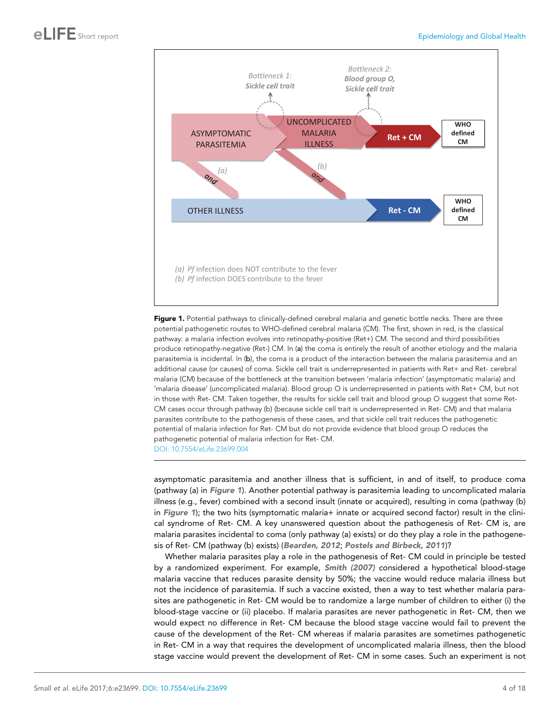<span id="page-3-0"></span>

Figure 1. Potential pathways to clinically-defined cerebral malaria and genetic bottle necks. There are three potential pathogenetic routes to WHO-defined cerebral malaria (CM). The first, shown in red, is the classical pathway: a malaria infection evolves into retinopathy-positive (Ret+) CM. The second and third possibilities produce retinopathy-negative (Ret-) CM. In (a) the coma is entirely the result of another etiology and the malaria parasitemia is incidental. In (b), the coma is a product of the interaction between the malaria parasitemia and an additional cause (or causes) of coma. Sickle cell trait is underrepresented in patients with Ret+ and Ret- cerebral malaria (CM) because of the bottleneck at the transition between 'malaria infection' (asymptomatic malaria) and 'malaria disease' (uncomplicated malaria). Blood group O is underrepresented in patients with Ret+ CM, but not in those with Ret- CM. Taken together, the results for sickle cell trait and blood group O suggest that some Ret-CM cases occur through pathway (b) (because sickle cell trait is underrepresented in Ret- CM) and that malaria parasites contribute to the pathogenesis of these cases, and that sickle cell trait reduces the pathogenetic potential of malaria infection for Ret- CM but do not provide evidence that blood group O reduces the pathogenetic potential of malaria infection for Ret- CM. [DOI: 10.7554/eLife.23699.004](http://dx.doi.org/10.7554/eLife.23699.004)

asymptomatic parasitemia and another illness that is sufficient, in and of itself, to produce coma (pathway (a) in Figure 1). Another potential pathway is parasitemia leading to uncomplicated malaria illness (e.g., fever) combined with a second insult (innate or acquired), resulting in coma (pathway (b) in Figure 1); the two hits (symptomatic malaria+ innate or acquired second factor) result in the clinical syndrome of Ret- CM. A key unanswered question about the pathogenesis of Ret- CM is, are malaria parasites incidental to coma (only pathway (a) exists) or do they play a role in the pathogenesis of Ret- CM (pathway (b) exists) ([Bearden, 2012](#page-13-0); [Postels and Birbeck, 2011](#page-14-0))?

Whether malaria parasites play a role in the pathogenesis of Ret- CM could in principle be tested by a randomized experiment. For example, [Smith \(2007\)](#page-14-0) considered a hypothetical blood-stage malaria vaccine that reduces parasite density by 50%; the vaccine would reduce malaria illness but not the incidence of parasitemia. If such a vaccine existed, then a way to test whether malaria parasites are pathogenetic in Ret- CM would be to randomize a large number of children to either (i) the blood-stage vaccine or (ii) placebo. If malaria parasites are never pathogenetic in Ret- CM, then we would expect no difference in Ret- CM because the blood stage vaccine would fail to prevent the cause of the development of the Ret- CM whereas if malaria parasites are sometimes pathogenetic in Ret- CM in a way that requires the development of uncomplicated malaria illness, then the blood stage vaccine would prevent the development of Ret- CM in some cases. Such an experiment is not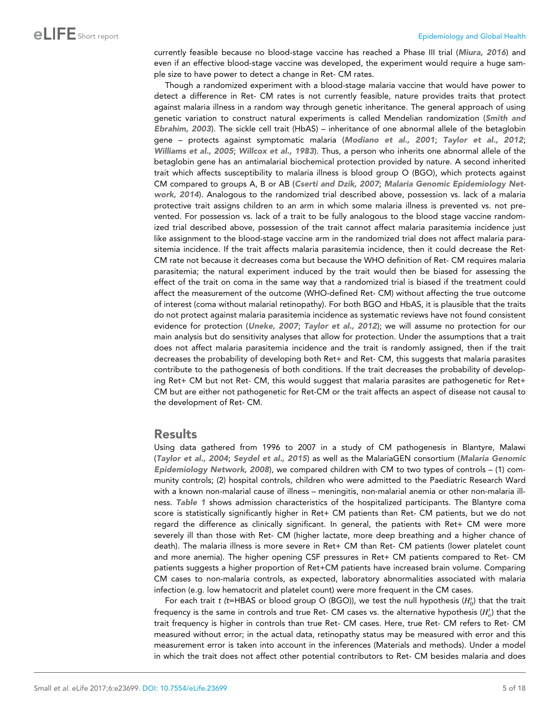currently feasible because no blood-stage vaccine has reached a Phase III trial ([Miura, 2016](#page-14-0)) and even if an effective blood-stage vaccine was developed, the experiment would require a huge sample size to have power to detect a change in Ret- CM rates.

Though a randomized experiment with a blood-stage malaria vaccine that would have power to detect a difference in Ret- CM rates is not currently feasible, nature provides traits that protect against malaria illness in a random way through genetic inheritance. The general approach of using genetic variation to construct natural experiments is called Mendelian randomization ([Smith and](#page-14-0) [Ebrahim, 2003](#page-14-0)). The sickle cell trait (HbAS) – inheritance of one abnormal allele of the betaglobin gene – protects against symptomatic malaria ([Modiano et al., 2001](#page-14-0); [Taylor et al., 2012](#page-14-0); [Williams et al., 2005](#page-15-0); [Willcox et al., 1983](#page-15-0)). Thus, a person who inherits one abnormal allele of the betaglobin gene has an antimalarial biochemical protection provided by nature. A second inherited trait which affects susceptibility to malaria illness is blood group O (BGO), which protects against CM compared to groups A, B or AB ([Cserti and Dzik, 2007](#page-13-0); [Malaria Genomic Epidemiology Net](#page-14-0)[work, 2014](#page-14-0)). Analogous to the randomized trial described above, possession vs. lack of a malaria protective trait assigns children to an arm in which some malaria illness is prevented vs. not prevented. For possession vs. lack of a trait to be fully analogous to the blood stage vaccine randomized trial described above, possession of the trait cannot affect malaria parasitemia incidence just like assignment to the blood-stage vaccine arm in the randomized trial does not affect malaria parasitemia incidence. If the trait affects malaria parasitemia incidence, then it could decrease the Ret-CM rate not because it decreases coma but because the WHO definition of Ret- CM requires malaria parasitemia; the natural experiment induced by the trait would then be biased for assessing the effect of the trait on coma in the same way that a randomized trial is biased if the treatment could affect the measurement of the outcome (WHO-defined Ret- CM) without affecting the true outcome of interest (coma without malarial retinopathy). For both BGO and HbAS, it is plausible that the traits do not protect against malaria parasitemia incidence as systematic reviews have not found consistent evidence for protection ([Uneke, 2007](#page-14-0); [Taylor et al., 2012](#page-14-0)); we will assume no protection for our main analysis but do sensitivity analyses that allow for protection. Under the assumptions that a trait does not affect malaria parasitemia incidence and the trait is randomly assigned, then if the trait decreases the probability of developing both Ret+ and Ret- CM, this suggests that malaria parasites contribute to the pathogenesis of both conditions. If the trait decreases the probability of developing Ret+ CM but not Ret- CM, this would suggest that malaria parasites are pathogenetic for Ret+ CM but are either not pathogenetic for Ret-CM or the trait affects an aspect of disease not causal to the development of Ret- CM.

## Results

Using data gathered from 1996 to 2007 in a study of CM pathogenesis in Blantyre, Malawi ([Taylor et al., 2004](#page-14-0); [Seydel et al., 2015](#page-14-0)) as well as the MalariaGEN consortium ([Malaria Genomic](#page-13-0) [Epidemiology Network, 2008](#page-13-0)), we compared children with CM to two types of controls – (1) community controls; (2) hospital controls, children who were admitted to the Paediatric Research Ward with a known non-malarial cause of illness – meningitis, non-malarial anemia or other non-malaria ill-ness. [Table 1](#page-2-0) shows admission characteristics of the hospitalized participants. The Blantyre coma score is statistically significantly higher in Ret+ CM patients than Ret- CM patients, but we do not regard the difference as clinically significant. In general, the patients with Ret+ CM were more severely ill than those with Ret- CM (higher lactate, more deep breathing and a higher chance of death). The malaria illness is more severe in Ret+ CM than Ret- CM patients (lower platelet count and more anemia). The higher opening CSF pressures in Ret+ CM patients compared to Ret- CM patients suggests a higher proportion of Ret+CM patients have increased brain volume. Comparing CM cases to non-malaria controls, as expected, laboratory abnormalities associated with malaria infection (e.g. low hematocrit and platelet count) were more frequent in the CM cases.

For each trait t (t=HBAS or blood group O (BGO)), we test the null hypothesis ( $H_0^t$ ) that the trait frequency is the same in controls and true Ret- CM cases vs. the alternative hypothesis  $(H_{a}^{t})$  that the trait frequency is higher in controls than true Ret- CM cases. Here, true Ret- CM refers to Ret- CM measured without error; in the actual data, retinopathy status may be measured with error and this measurement error is taken into account in the inferences (Materials and methods). Under a model in which the trait does not affect other potential contributors to Ret- CM besides malaria and does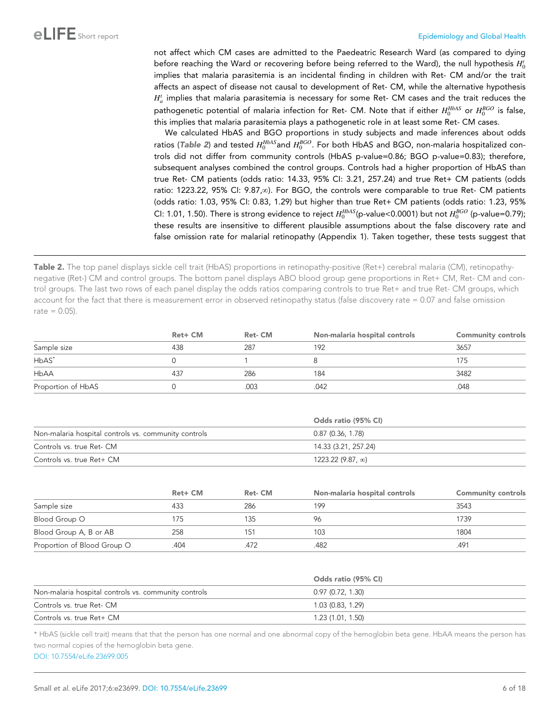<span id="page-5-0"></span>not affect which CM cases are admitted to the Paedeatric Research Ward (as compared to dying before reaching the Ward or recovering before being referred to the Ward), the null hypothesis  $H_0^t$ implies that malaria parasitemia is an incidental finding in children with Ret- CM and/or the trait affects an aspect of disease not causal to development of Ret- CM, while the alternative hypothesis  $H^t_a$  implies that malaria parasitemia is necessary for some Ret- CM cases and the trait reduces the pathogenetic potential of malaria infection for Ret- CM. Note that if either  $H_0^{HbAS}$  or  $H_0^{BGO}$  is false, this implies that malaria parasitemia plays a pathogenetic role in at least some Ret- CM cases.

We calculated HbAS and BGO proportions in study subjects and made inferences about odds ratios (Table 2) and tested  $H_0^{HbAS}$ and  $H_0^{BGO}$ . For both HbAS and BGO, non-malaria hospitalized controls did not differ from community controls (HbAS p-value=0.86; BGO p-value=0.83); therefore, subsequent analyses combined the control groups. Controls had a higher proportion of HbAS than true Ret- CM patients (odds ratio: 14.33, 95% CI: 3.21, 257.24) and true Ret+ CM patients (odds ratio: 1223.22, 95% CI: 9.87, $\infty$ ). For BGO, the controls were comparable to true Ret- CM patients (odds ratio: 1.03, 95% CI: 0.83, 1.29) but higher than true Ret+ CM patients (odds ratio: 1.23, 95% CI: 1.01, 1.50). There is strong evidence to reject  $H_0^{HbAS}$ (p-value<0.0001) but not  $H_0^{BGO}$  (p-value=0.79); these results are insensitive to different plausible assumptions about the false discovery rate and false omission rate for malarial retinopathy (Appendix 1). Taken together, these tests suggest that

Table 2. The top panel displays sickle cell trait (HbAS) proportions in retinopathy-positive (Ret+) cerebral malaria (CM), retinopathynegative (Ret-) CM and control groups. The bottom panel displays ABO blood group gene proportions in Ret+ CM, Ret- CM and control groups. The last two rows of each panel display the odds ratios comparing controls to true Ret+ and true Ret- CM groups, which account for the fact that there is measurement error in observed retinopathy status (false discovery rate = 0.07 and false omission  $rate = 0.05$ ).

|                    | Ret+ CM | Ret-CM | Non-malaria hospital controls | <b>Community controls</b> |
|--------------------|---------|--------|-------------------------------|---------------------------|
| Sample size        | 438     | 287    | 192                           | 3657                      |
| $HbAS^*$           |         |        |                               | 175                       |
| <b>HbAA</b>        | 437     | 286    | 184                           | 3482                      |
| Proportion of HbAS |         | .003   | .042                          | .048                      |

|                                                      | Odds ratio (95% CI)     |  |
|------------------------------------------------------|-------------------------|--|
| Non-malaria hospital controls vs. community controls | $0.87$ (0.36, 1.78)     |  |
| Controls vs. true Ret- CM                            | 14.33 (3.21, 257.24)    |  |
| Controls vs. true Ret+ CM                            | $1223.22(9.87, \infty)$ |  |

|                             | Ret+ CM | Ret-CM | Non-malaria hospital controls | <b>Community controls</b> |
|-----------------------------|---------|--------|-------------------------------|---------------------------|
| Sample size                 | 433     | 286    | 199                           | 3543                      |
| Blood Group O               | 175     | 135    | 96                            | 739                       |
| Blood Group A, B or AB      | 258     | 151    | 103                           | 1804                      |
| Proportion of Blood Group O | .404    |        | .482                          | .491                      |

|                                                      | Odds ratio (95% CI) |
|------------------------------------------------------|---------------------|
| Non-malaria hospital controls vs. community controls | 0.97(0.72, 1.30)    |
| Controls vs. true Ret- CM                            | 1.03 (0.83, 1.29)   |
| Controls vs. true Ret+ CM                            | 1.23 (1.01, 1.50)   |

\* HbAS (sickle cell trait) means that that the person has one normal and one abnormal copy of the hemoglobin beta gene. HbAA means the person has two normal copies of the hemoglobin beta gene.

[DOI: 10.7554/eLife.23699.005](http://dx.doi.org/10.7554/eLife.23699.005Table%202.The%20top%20panel%20displays%20sickle%20cell%20trait%20(HbAS)%20proportions%20in%20retinopathy-positive%20(Ret+)%20cerebral%20malaria%20(CM),%20retinopathy-negative%20(Ret-)%20CM%20and%20control%20groups.%20The%20bottom%20panel%20displays%20ABO%20blood%20group%20gene%20proportions%20in%20Ret+%20CM,%20Ret-%20CM%20and%20control%20groups.%20The%20last%20two%20rows%20of%20each%20panel%20display%20the%20odds%20ratios%20comparing%20controls%20to%20true%20Ret+%20and%20true%20Ret-%20CM%20groups,%20which%20account%20for%20the%20fact%20that%20there%20is%20measurement%20error%20in%20observed%20retinopathy%20status%20(false%20discovery%20rate&x00A0;=&x00A0;0.07%20and%20false%20omission%20rate&x00A0;=&x00A0;0.05).%2010.7554/eLife.23699.005Ret+%20CMRet-%20CMNon-malaria%20hospital%20controlsCommunity%20controlsSample%20size4382871923657HbAS&x002A;018175HbAA4372861843482Proportion%20of%20HbAS0.003.042.048Odds%20ratio%20(95%%20CI)Non-malaria%20hospital%20controls%20vs.%20community%20controls0.87%20(0.36,%201.78)Controls%20vs.%20true%20Ret-%20CM14.33%20(3.21,%20257.24)Controls%20vs.%20true%20Ret+%20CM1223.22%20(9.87,%20\infty%20)Ret+%20CMRet-%20CMNon-malaria%20hospital%20controlsCommunity%20controlsSample%20size4332861993543Blood%20Group%20O175135961739Blood%20Group%20A,%20B%20or%20AB2581511031804Proportion%20of%20Blood%20Group%20O.404.472.482.491Odds%20ratio%20(95%%20CI)Non-malaria%20hospital%20controls%20vs.%20community%20controls0.97%20(0.72,%201.30)Controls%20vs.%20true%20Ret-%20CM1.03%20(0.83,%201.29)Controls%20vs.%20true%20Ret+%20CM1.23%20(1.01,%201.50)&x002A;%20HbAS%20(sickle%20cell%20trait)%20means%20that%20that%20the%20person%20has%20one%20normal%20and%20one%20abnormal%20copy%20of%20the%20hemoglobin%20beta%20gene.%20HbAA%20means%20the%20person%20has%20two%20normal%20copies%20of%20the%20hemoglobin%20beta%20gene.)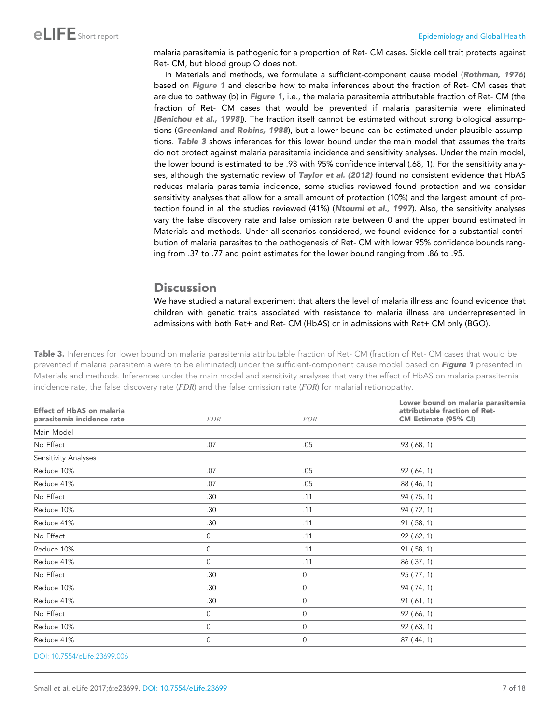malaria parasitemia is pathogenic for a proportion of Ret- CM cases. Sickle cell trait protects against Ret- CM, but blood group O does not.

In Materials and methods, we formulate a sufficient-component cause model ([Rothman, 1976](#page-14-0)) based on [Figure 1](#page-3-0) and describe how to make inferences about the fraction of Ret- CM cases that are due to pathway (b) in [Figure 1](#page-3-0), i.e., the malaria parasitemia attributable fraction of Ret- CM (the fraction of Ret- CM cases that would be prevented if malaria parasitemia were eliminated [\[Benichou et al., 1998](#page-13-0)]). The fraction itself cannot be estimated without strong biological assump-tions ([Greenland and Robins, 1988](#page-13-0)), but a lower bound can be estimated under plausible assumptions. Table 3 shows inferences for this lower bound under the main model that assumes the traits do not protect against malaria parasitemia incidence and sensitivity analyses. Under the main model, the lower bound is estimated to be .93 with 95% confidence interval (.68, 1). For the sensitivity analy-ses, although the systematic review of [Taylor et al. \(2012\)](#page-14-0) found no consistent evidence that HbAS reduces malaria parasitemia incidence, some studies reviewed found protection and we consider sensitivity analyses that allow for a small amount of protection (10%) and the largest amount of pro-tection found in all the studies reviewed (41%) ([Ntoumi et al., 1997](#page-14-0)). Also, the sensitivity analyses vary the false discovery rate and false omission rate between 0 and the upper bound estimated in Materials and methods. Under all scenarios considered, we found evidence for a substantial contribution of malaria parasites to the pathogenesis of Ret- CM with lower 95% confidence bounds ranging from .37 to .77 and point estimates for the lower bound ranging from .86 to .95.

## **Discussion**

We have studied a natural experiment that alters the level of malaria illness and found evidence that children with genetic traits associated with resistance to malaria illness are underrepresented in admissions with both Ret+ and Ret- CM (HbAS) or in admissions with Ret+ CM only (BGO).

Table 3. Inferences for lower bound on malaria parasitemia attributable fraction of Ret- CM (fraction of Ret- CM cases that would be prevented if malaria parasitemia were to be eliminated) under the sufficient-component cause model based on [Figure 1](#page-3-0) presented in Materials and methods. Inferences under the main model and sensitivity analyses that vary the effect of HbAS on malaria parasitemia incidence rate, the false discovery rate  $(FDR)$  and the false omission rate  $(FOR)$  for malarial retionopathy.

| <b>FOR</b>   | Lower bound on malaria parasitemia<br>attributable fraction of Ret-<br>CM Estimate (95% CI) |
|--------------|---------------------------------------------------------------------------------------------|
|              |                                                                                             |
| .05          | .93(.68, 1)                                                                                 |
|              |                                                                                             |
| .05          | .92(.64, 1)                                                                                 |
| .05          | $.88$ (.46, 1)                                                                              |
| .11          | $.94$ ( $.75, 1$ )                                                                          |
| .11          | .94(.72, 1)                                                                                 |
| .11          | .91 (.58, 1)                                                                                |
| .11          | .92(.62, 1)                                                                                 |
| .11          | .91(.58, 1)                                                                                 |
| .11          | .86 (.37, 1)                                                                                |
| $\mathbf{0}$ | .95(.77, 1)                                                                                 |
| 0            | .94(.74, 1)                                                                                 |
| $\mathbf 0$  | .91(.61, 1)                                                                                 |
| 0            | $.92$ (.66, 1)                                                                              |
| 0            | $.92$ (.63, 1)                                                                              |
| 0            | $.87$ $(.44, 1)$                                                                            |
|              |                                                                                             |

[DOI: 10.7554/eLife.23699.006](http://dx.doi.org/10.7554/eLife.23699.006Table%203.Inferences%20for%20lower%20bound%20on%20malaria%20parasitemia%20attributable%20fraction%20of%20Ret-%20CM%20(fraction%20of%20Ret-%20CM%20cases%20that%20would%20be%20prevented%20if%20malaria%20parasitemia%20were%20to%20be%20eliminated)%20under%20the%20sufficient-component%20cause%20model%20based%20on%20Figure%201%20presented%20in%20Materials&x00A0;and&x00A0;methods.%20Inferences%20under%20the%20main%20model%20and%20sensitivity%20analyses%20that%20vary%20the%20effect%20of%20HbAS%20on%20malaria%20parasitemia%20incidence%20rate,%20the%20false%20discovery%20rate%20(FDR)%20and%20the%20false%20omission%20rate%20(FOR)%20for%20malarial%20retionopathy.%2010.7554/eLife.23699.006Effect%20of%20HbAS%20on%20malariaparasitemia%20incidence%20rateFDRFORLower%20bound%20on%20malaria%20parasitemiaattributable%20fraction%20of%20Ret-CM%20Estimate%20(95%%20CI)Main%20ModelNo%20Effect.07.05.93%20(.68,%201)Sensitivity%20AnalysesReduce%2010%.07.05.92%20(.64,%201)Reduce%2041%.07.05.88%20(.46,%201)No%20Effect.30.11.94%20(.75,%201)Reduce%2010%.30.11.94%20(.72,%201)Reduce%2041%.30.11.91%20(.58,%201)No%20Effect0.11.92%20(.62,%201)Reduce%2010%0.11.91%20(.58,%201)Reduce%2041%0.11.86%20(.37,%201)No%20Effect.300.95%20(.77,%201)Reduce%2010%.300.94%20(.74,%201)Reduce%2041%.300.91%20(.61,%201)No%20Effect00.92%20(.66,%201)Reduce%2010%00.92%20(.63,%201)Reduce%2041%00.87%20(.44,%201))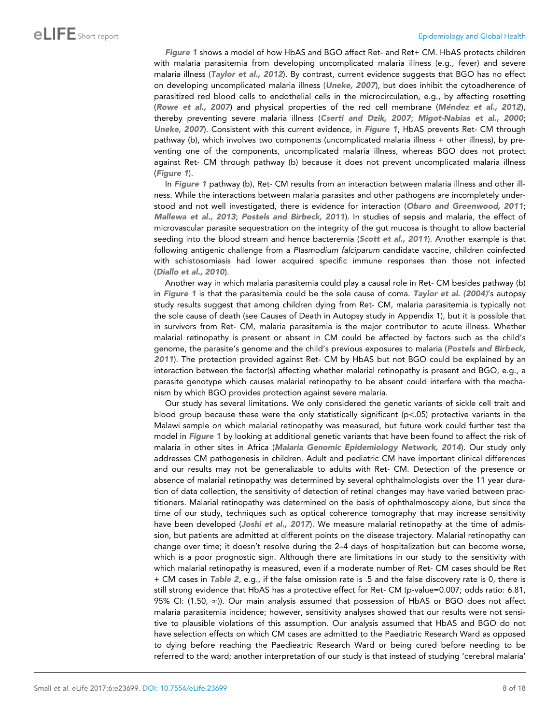[Figure 1](#page-3-0) shows a model of how HbAS and BGO affect Ret- and Ret+ CM. HbAS protects children with malaria parasitemia from developing uncomplicated malaria illness (e.g., fever) and severe malaria illness ([Taylor et al., 2012](#page-14-0)). By contrast, current evidence suggests that BGO has no effect on developing uncomplicated malaria illness ([Uneke, 2007](#page-14-0)), but does inhibit the cytoadherence of parasitized red blood cells to endothelial cells in the microcirculation, e.g., by affecting rosetting ([Rowe et al., 2007](#page-14-0)) and physical properties of the red cell membrane (Méndez et al., 2012), thereby preventing severe malaria illness ([Cserti and Dzik, 2007](#page-13-0); [Migot-Nabias et al., 2000](#page-13-0); [Uneke, 2007](#page-14-0)). Consistent with this current evidence, in [Figure 1](#page-3-0), HbAS prevents Ret- CM through pathway (b), which involves two components (uncomplicated malaria illness + other illness), by preventing one of the components, uncomplicated malaria illness, whereas BGO does not protect against Ret- CM through pathway (b) because it does not prevent uncomplicated malaria illness ([Figure 1](#page-3-0)).

In [Figure 1](#page-3-0) pathway (b), Ret- CM results from an interaction between malaria illness and other illness. While the interactions between malaria parasites and other pathogens are incompletely understood and not well investigated, there is evidence for interaction ([Obaro and Greenwood, 2011](#page-14-0); [Mallewa et al., 2013](#page-13-0); [Postels and Birbeck, 2011](#page-14-0)). In studies of sepsis and malaria, the effect of microvascular parasite sequestration on the integrity of the gut mucosa is thought to allow bacterial seeding into the blood stream and hence bacteremia ([Scott et al., 2011](#page-14-0)). Another example is that following antigenic challenge from a *Plasmodium falciparum* candidate vaccine, children coinfected with schistosomiasis had lower acquired specific immune responses than those not infected ([Diallo et al., 2010](#page-13-0)).

Another way in which malaria parasitemia could play a causal role in Ret- CM besides pathway (b) in [Figure 1](#page-3-0) is that the parasitemia could be the sole cause of coma. [Taylor et al. \(2004\)](#page-14-0)'s autopsy study results suggest that among children dying from Ret- CM, malaria parasitemia is typically not the sole cause of death (see Causes of Death in Autopsy study in Appendix 1), but it is possible that in survivors from Ret- CM, malaria parasitemia is the major contributor to acute illness. Whether malarial retinopathy is present or absent in CM could be affected by factors such as the child's genome, the parasite's genome and the child's previous exposures to malaria ([Postels and Birbeck,](#page-14-0) [2011](#page-14-0)). The protection provided against Ret- CM by HbAS but not BGO could be explained by an interaction between the factor(s) affecting whether malarial retinopathy is present and BGO, e.g., a parasite genotype which causes malarial retinopathy to be absent could interfere with the mechanism by which BGO provides protection against severe malaria.

Our study has several limitations. We only considered the genetic variants of sickle cell trait and blood group because these were the only statistically significant ( $p$ <.05) protective variants in the Malawi sample on which malarial retinopathy was measured, but future work could further test the model in [Figure 1](#page-3-0) by looking at additional genetic variants that have been found to affect the risk of malaria in other sites in Africa ([Malaria Genomic Epidemiology Network, 2014](#page-14-0)). Our study only addresses CM pathogenesis in children. Adult and pediatric CM have important clinical differences and our results may not be generalizable to adults with Ret- CM. Detection of the presence or absence of malarial retinopathy was determined by several ophthalmologists over the 11 year duration of data collection, the sensitivity of detection of retinal changes may have varied between practitioners. Malarial retinopathy was determined on the basis of ophthalmoscopy alone, but since the time of our study, techniques such as optical coherence tomography that may increase sensitivity have been developed ([Joshi et al., 2017](#page-13-0)). We measure malarial retinopathy at the time of admission, but patients are admitted at different points on the disease trajectory. Malarial retinopathy can change over time; it doesn't resolve during the 2–4 days of hospitalization but can become worse, which is a poor prognostic sign. Although there are limitations in our study to the sensitivity with which malarial retinopathy is measured, even if a moderate number of Ret- CM cases should be Ret + CM cases in [Table 2](#page-5-0), e.g., if the false omission rate is .5 and the false discovery rate is 0, there is still strong evidence that HbAS has a protective effect for Ret- CM (p-value=0.007; odds ratio: 6.81, 95% CI:  $(1.50, \infty)$ ). Our main analysis assumed that possession of HbAS or BGO does not affect malaria parasitemia incidence; however, sensitivity analyses showed that our results were not sensitive to plausible violations of this assumption. Our analysis assumed that HbAS and BGO do not have selection effects on which CM cases are admitted to the Paediatric Research Ward as opposed to dying before reaching the Paedieatric Research Ward or being cured before needing to be referred to the ward; another interpretation of our study is that instead of studying 'cerebral malaria'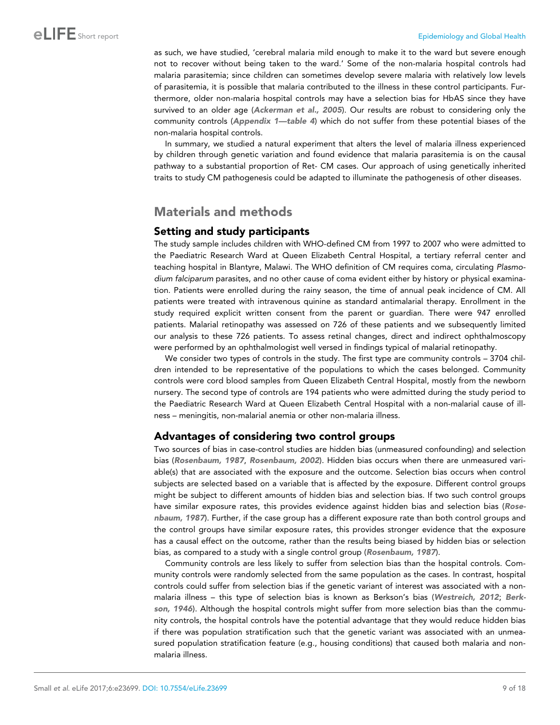as such, we have studied, 'cerebral malaria mild enough to make it to the ward but severe enough not to recover without being taken to the ward.' Some of the non-malaria hospital controls had malaria parasitemia; since children can sometimes develop severe malaria with relatively low levels of parasitemia, it is possible that malaria contributed to the illness in these control participants. Furthermore, older non-malaria hospital controls may have a selection bias for HbAS since they have survived to an older age ([Ackerman et al., 2005](#page-13-0)). Our results are robust to considering only the community controls ([Appendix 1—table 4](#page-17-0)) which do not suffer from these potential biases of the non-malaria hospital controls.

In summary, we studied a natural experiment that alters the level of malaria illness experienced by children through genetic variation and found evidence that malaria parasitemia is on the causal pathway to a substantial proportion of Ret- CM cases. Our approach of using genetically inherited traits to study CM pathogenesis could be adapted to illuminate the pathogenesis of other diseases.

# Materials and methods

### Setting and study participants

The study sample includes children with WHO-defined CM from 1997 to 2007 who were admitted to the Paediatric Research Ward at Queen Elizabeth Central Hospital, a tertiary referral center and teaching hospital in Blantyre, Malawi. The WHO definition of CM requires coma, circulating *Plasmodium falciparum* parasites, and no other cause of coma evident either by history or physical examination. Patients were enrolled during the rainy season, the time of annual peak incidence of CM. All patients were treated with intravenous quinine as standard antimalarial therapy. Enrollment in the study required explicit written consent from the parent or guardian. There were 947 enrolled patients. Malarial retinopathy was assessed on 726 of these patients and we subsequently limited our analysis to these 726 patients. To assess retinal changes, direct and indirect ophthalmoscopy were performed by an ophthalmologist well versed in findings typical of malarial retinopathy.

We consider two types of controls in the study. The first type are community controls – 3704 children intended to be representative of the populations to which the cases belonged. Community controls were cord blood samples from Queen Elizabeth Central Hospital, mostly from the newborn nursery. The second type of controls are 194 patients who were admitted during the study period to the Paediatric Research Ward at Queen Elizabeth Central Hospital with a non-malarial cause of illness – meningitis, non-malarial anemia or other non-malaria illness.

## Advantages of considering two control groups

Two sources of bias in case-control studies are hidden bias (unmeasured confounding) and selection bias ([Rosenbaum, 1987](#page-14-0), [Rosenbaum, 2002](#page-14-0)). Hidden bias occurs when there are unmeasured variable(s) that are associated with the exposure and the outcome. Selection bias occurs when control subjects are selected based on a variable that is affected by the exposure. Different control groups might be subject to different amounts of hidden bias and selection bias. If two such control groups have similar exposure rates, this provides evidence against hidden bias and selection bias ([Rose](#page-14-0)[nbaum, 1987](#page-14-0)). Further, if the case group has a different exposure rate than both control groups and the control groups have similar exposure rates, this provides stronger evidence that the exposure has a causal effect on the outcome, rather than the results being biased by hidden bias or selection bias, as compared to a study with a single control group ([Rosenbaum, 1987](#page-14-0)).

Community controls are less likely to suffer from selection bias than the hospital controls. Community controls were randomly selected from the same population as the cases. In contrast, hospital controls could suffer from selection bias if the genetic variant of interest was associated with a nonmalaria illness – this type of selection bias is known as Berkson's bias ([Westreich, 2012](#page-15-0); [Berk](#page-13-0)[son, 1946](#page-13-0)). Although the hospital controls might suffer from more selection bias than the community controls, the hospital controls have the potential advantage that they would reduce hidden bias if there was population stratification such that the genetic variant was associated with an unmeasured population stratification feature (e.g., housing conditions) that caused both malaria and nonmalaria illness.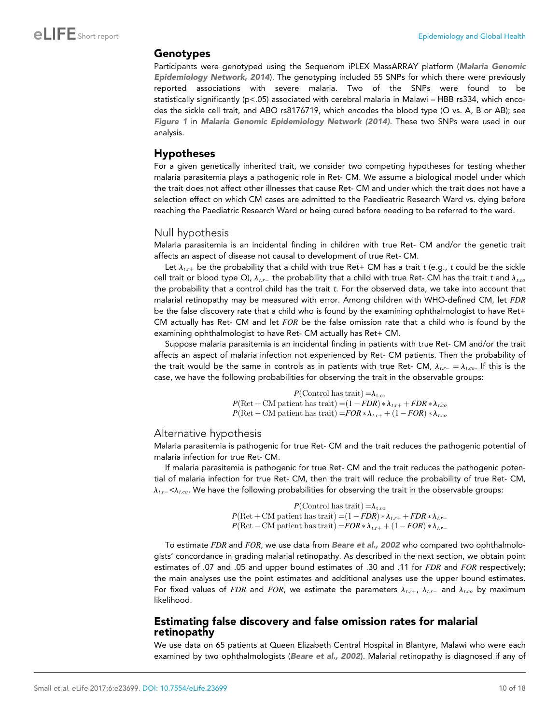#### Genotypes

Participants were genotyped using the Sequenom iPLEX MassARRAY platform ([Malaria Genomic](#page-14-0) [Epidemiology Network, 2014](#page-14-0)). The genotyping included 55 SNPs for which there were previously reported associations with severe malaria. Two of the SNPs were found to be statistically significantly (p<.05) associated with cerebral malaria in Malawi – HBB rs334, which encodes the sickle cell trait, and ABO rs8176719, which encodes the blood type (O vs. A, B or AB); see [Figure 1](#page-3-0) in [Malaria Genomic Epidemiology Network \(2014\)](#page-14-0). These two SNPs were used in our analysis.

#### Hypotheses

For a given genetically inherited trait, we consider two competing hypotheses for testing whether malaria parasitemia plays a pathogenic role in Ret- CM. We assume a biological model under which the trait does not affect other illnesses that cause Ret- CM and under which the trait does not have a selection effect on which CM cases are admitted to the Paedieatric Research Ward vs. dying before reaching the Paediatric Research Ward or being cured before needing to be referred to the ward.

#### Null hypothesis

Malaria parasitemia is an incidental finding in children with true Ret- CM and/or the genetic trait affects an aspect of disease not causal to development of true Ret- CM.

Let  $\lambda_{tr}$  be the probability that a child with true Ret+ CM has a trait *t* (e.g., *t* could be the sickle cell trait or blood type O),  $\lambda_{tr}$  the probability that a child with true Ret- CM has the trait *t* and  $\lambda_{t,co}$ the probability that a control child has the trait *t*. For the observed data, we take into account that malarial retinopathy may be measured with error. Among children with WHO-defined CM, let FDR be the false discovery rate that a child who is found by the examining ophthalmologist to have Ret+ CM actually has Ret- CM and let FOR be the false omission rate that a child who is found by the examining ophthalmologist to have Ret- CM actually has Ret+ CM.

Suppose malaria parasitemia is an incidental finding in patients with true Ret- CM and/or the trait affects an aspect of malaria infection not experienced by Ret- CM patients. Then the probability of the trait would be the same in controls as in patients with true Ret- CM,  $\lambda_{tr} = \lambda_{t,c}$ . If this is the case, we have the following probabilities for observing the trait in the observable groups:

> $P$ (Control has trait)  $=\lambda_{t.c}$  $P(\text{Ret} + \text{CM patient has trait}) = (1 - FDR) * \lambda_{t,r+} + FDR * \lambda_{t,co}$  $P(\text{Ret} - \text{CM patient has trait}) = FOR * \lambda_{t.r+} + (1 - FOR) * \lambda_{t.co}$

#### Alternative hypothesis

Malaria parasitemia is pathogenic for true Ret- CM and the trait reduces the pathogenic potential of malaria infection for true Ret- CM.

If malaria parasitemia is pathogenic for true Ret- CM and the trait reduces the pathogenic potential of malaria infection for true Ret- CM, then the trait will reduce the probability of true Ret- CM,  $\lambda_{tr}$   $\leq$   $\lambda_{tco}$ . We have the following probabilities for observing the trait in the observable groups:

> $P$ (Control has trait)  $=\lambda_{t.c}$  $P(\text{Ret} + \text{CM patient has trait}) = (1 - FDR) * \lambda_{t.r+} + FDR * \lambda_{t.r-}$  $P(\text{Ret}-\text{CM}\text{ patient has trait})=FOR*\lambda_{t.r+}+(1-FOR)*\lambda_{t.r-}$

To estimate FDR and FOR, we use data from [Beare et al., 2002](#page-13-0) who compared two ophthalmologists' concordance in grading malarial retinopathy. As described in the next section, we obtain point estimates of .07 and .05 and upper bound estimates of .30 and .11 for FDR and FOR respectively; the main analyses use the point estimates and additional analyses use the upper bound estimates. For fixed values of FDR and FOR, we estimate the parameters  $\lambda_{tr}$ ,  $\lambda_{tr}$  and  $\lambda_{t,c0}$  by maximum likelihood.

#### Estimating false discovery and false omission rates for malarial retinopathy

We use data on 65 patients at Queen Elizabeth Central Hospital in Blantyre, Malawi who were each examined by two ophthalmologists ([Beare et al., 2002](#page-13-0)). Malarial retinopathy is diagnosed if any of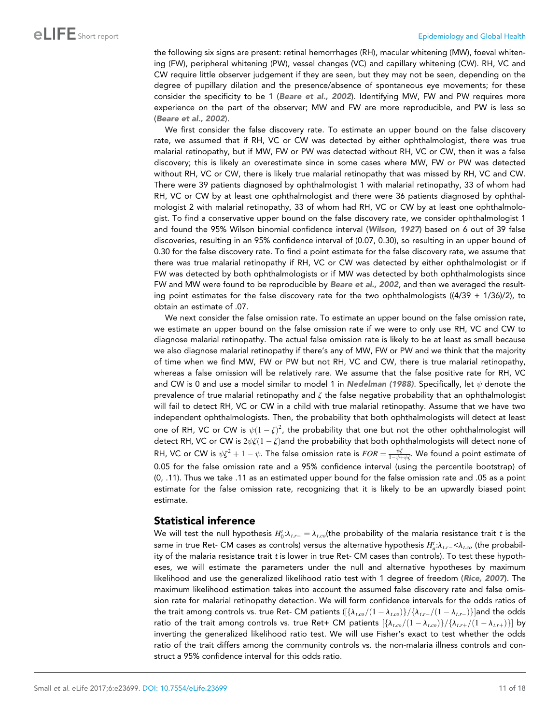the following six signs are present: retinal hemorrhages (RH), macular whitening (MW), foeval whitening (FW), peripheral whitening (PW), vessel changes (VC) and capillary whitening (CW). RH, VC and CW require little observer judgement if they are seen, but they may not be seen, depending on the degree of pupillary dilation and the presence/absence of spontaneous eye movements; for these consider the specificity to be 1 ([Beare et al., 2002](#page-13-0)). Identifying MW, FW and PW requires more experience on the part of the observer; MW and FW are more reproducible, and PW is less so ([Beare et al., 2002](#page-13-0)).

We first consider the false discovery rate. To estimate an upper bound on the false discovery rate, we assumed that if RH, VC or CW was detected by either ophthalmologist, there was true malarial retinopathy, but if MW, FW or PW was detected without RH, VC or CW, then it was a false discovery; this is likely an overestimate since in some cases where MW, FW or PW was detected without RH, VC or CW, there is likely true malarial retinopathy that was missed by RH, VC and CW. There were 39 patients diagnosed by ophthalmologist 1 with malarial retinopathy, 33 of whom had RH, VC or CW by at least one ophthalmologist and there were 36 patients diagnosed by ophthalmologist 2 with malarial retinopathy, 33 of whom had RH, VC or CW by at least one ophthalmologist. To find a conservative upper bound on the false discovery rate, we consider ophthalmologist 1 and found the 95% Wilson binomial confidence interval ([Wilson, 1927](#page-15-0)) based on 6 out of 39 false discoveries, resulting in an 95% confidence interval of (0.07, 0.30), so resulting in an upper bound of 0.30 for the false discovery rate. To find a point estimate for the false discovery rate, we assume that there was true malarial retinopathy if RH, VC or CW was detected by either ophthalmologist or if FW was detected by both ophthalmologists or if MW was detected by both ophthalmologists since FW and MW were found to be reproducible by [Beare et al., 2002](#page-13-0), and then we averaged the resulting point estimates for the false discovery rate for the two ophthalmologists ((4/39 + 1/36)/2), to obtain an estimate of .07.

We next consider the false omission rate. To estimate an upper bound on the false omission rate, we estimate an upper bound on the false omission rate if we were to only use RH, VC and CW to diagnose malarial retinopathy. The actual false omission rate is likely to be at least as small because we also diagnose malarial retinopathy if there's any of MW, FW or PW and we think that the majority of time when we find MW, FW or PW but not RH, VC and CW, there is true malarial retinopathy, whereas a false omission will be relatively rare. We assume that the false positive rate for RH, VC and CW is 0 and use a model similar to model 1 in [Nedelman \(1988\)](#page-14-0). Specifically, let  $\psi$  denote the prevalence of true malarial retinopathy and  $\zeta$  the false negative probability that an ophthalmologist will fail to detect RH, VC or CW in a child with true malarial retinopathy. Assume that we have two independent ophthalmologists. Then, the probability that both ophthalmologists will detect at least one of RH, VC or CW is  $\psi(1-\zeta)^2$ , the probability that one but not the other ophthalmologist will detect RH, VC or CW is  $2\psi \zeta (1-\zeta)$  and the probability that both ophthalmologists will detect none of RH, VC or CW is  $\psi\zeta^2+1-\psi.$  The false omission rate is  $FOR=\frac{\psi\zeta}{1-\psi+\psi\zeta}.$  We found a point estimate of 0.05 for the false omission rate and a 95% confidence interval (using the percentile bootstrap) of (0, .11). Thus we take .11 as an estimated upper bound for the false omission rate and .05 as a point estimate for the false omission rate, recognizing that it is likely to be an upwardly biased point estimate.

## Statistical inference

We will test the null hypothesis  $H_0^t{:}\lambda_{t.r-}=\lambda_{t.co}$ (the probability of the malaria resistance trait  $t$  is the same in true Ret- CM cases as controls) versus the alternative hypothesis  $H_a^t{:}\lambda_{t.r-} {<} \lambda_{t.co}$  (the probability of the malaria resistance trait *t* is lower in true Ret- CM cases than controls). To test these hypotheses, we will estimate the parameters under the null and alternative hypotheses by maximum likelihood and use the generalized likelihood ratio test with 1 degree of freedom ([Rice, 2007](#page-14-0)). The maximum likelihood estimation takes into account the assumed false discovery rate and false omission rate for malarial retinopathy detection. We will form confidence intervals for the odds ratios of the trait among controls vs. true Ret- CM patients  $([\{\lambda_{t, co}/(1-\lambda_{t, co})\}/\{\lambda_{t, r-}/(1-\lambda_{t, r-})\}]$  and the odds ratio of the trait among controls vs. true Ret+ CM patients  $\frac{[\lambda_{l,co}/(1-\lambda_{l,co})]}{\lambda_{l,co}/(1-\lambda_{l,co})}$  by inverting the generalized likelihood ratio test. We will use Fisher's exact to test whether the odds ratio of the trait differs among the community controls vs. the non-malaria illness controls and construct a 95% confidence interval for this odds ratio.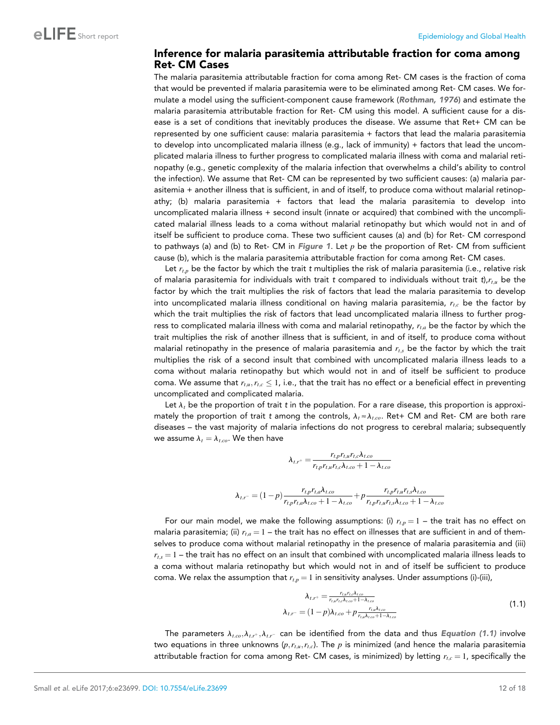#### Inference for malaria parasitemia attributable fraction for coma among Ret- CM Cases

The malaria parasitemia attributable fraction for coma among Ret- CM cases is the fraction of coma that would be prevented if malaria parasitemia were to be eliminated among Ret- CM cases. We formulate a model using the sufficient-component cause framework ([Rothman, 1976](#page-14-0)) and estimate the malaria parasitemia attributable fraction for Ret- CM using this model. A sufficient cause for a disease is a set of conditions that inevitably produces the disease. We assume that Ret+ CM can be represented by one sufficient cause: malaria parasitemia + factors that lead the malaria parasitemia to develop into uncomplicated malaria illness (e.g., lack of immunity) + factors that lead the uncomplicated malaria illness to further progress to complicated malaria illness with coma and malarial retinopathy (e.g., genetic complexity of the malaria infection that overwhelms a child's ability to control the infection). We assume that Ret- CM can be represented by two sufficient causes: (a) malaria parasitemia + another illness that is sufficient, in and of itself, to produce coma without malarial retinopathy; (b) malaria parasitemia + factors that lead the malaria parasitemia to develop into uncomplicated malaria illness + second insult (innate or acquired) that combined with the uncomplicated malarial illness leads to a coma without malarial retinopathy but which would not in and of itself be sufficient to produce coma. These two sufficient causes (a) and (b) for Ret- CM correspond to pathways (a) and (b) to Ret- CM in [Figure 1](#page-3-0). Let  $p$  be the proportion of Ret- CM from sufficient cause (b), which is the malaria parasitemia attributable fraction for coma among Ret- CM cases.

Let  $r_{t,p}$  be the factor by which the trait *t* multiplies the risk of malaria parasitemia (i.e., relative risk of malaria parasitemia for individuals with trait *t* compared to individuals without trait *t*), $r_{t,u}$  be the factor by which the trait multiplies the risk of factors that lead the malaria parasitemia to develop into uncomplicated malaria illness conditional on having malaria parasitemia,  $r_{tx}$  be the factor by which the trait multiplies the risk of factors that lead uncomplicated malaria illness to further progress to complicated malaria illness with coma and malarial retinopathy,  $r_{t,a}$  be the factor by which the trait multiplies the risk of another illness that is sufficient, in and of itself, to produce coma without malarial retinopathy in the presence of malaria parasitemia and  $r_{ts}$  be the factor by which the trait multiplies the risk of a second insult that combined with uncomplicated malaria illness leads to a coma without malaria retinopathy but which would not in and of itself be sufficient to produce coma. We assume that  $r_{t,u},r_{t,c} \leq 1$ , i.e., that the trait has no effect or a beneficial effect in preventing uncomplicated and complicated malaria.

Let  $\lambda_t$  be the proportion of trait *t* in the population. For a rare disease, this proportion is approximately the proportion of trait *t* among the controls,  $\lambda_t \approx \lambda_{t.co}$ . Ret+ CM and Ret- CM are both rare diseases – the vast majority of malaria infections do not progress to cerebral malaria; subsequently we assume  $\lambda_t = \lambda_{t.co}$ . We then have

$$
\lambda_{t,r^{+}} = \frac{r_{t,p}r_{t,u}r_{t,c}\lambda_{t.co}}{r_{t,p}r_{t,u}r_{t,c}\lambda_{t.co} + 1 - \lambda_{t.co}}
$$

$$
\lambda_{t,r^{-}} = (1-p)\frac{r_{t,p}r_{t,a}\lambda_{t.co}}{r_{t,p}r_{t,a}\lambda_{t.co} + 1 - \lambda_{t.co}} + p\frac{r_{t,p}r_{t,u}r_{t,s}\lambda_{t.co}}{r_{t,p}r_{t,u}r_{t,s}\lambda_{t.co} + 1 - \lambda_{t.co}}
$$

For our main model, we make the following assumptions: (i)  $r_{tp} = 1$  – the trait has no effect on malaria parasitemia; (ii)  $r_{t,a} = 1$  – the trait has no effect on illnesses that are sufficient in and of themselves to produce coma without malarial retinopathy in the presence of malaria parasitemia and (iii)  $r_{ts} = 1$  – the trait has no effect on an insult that combined with uncomplicated malaria illness leads to a coma without malaria retinopathy but which would not in and of itself be sufficient to produce coma. We relax the assumption that  $r_{t,p} = 1$  in sensitivity analyses. Under assumptions (i)-(iii),

$$
\lambda_{t,r^{+}} = \frac{r_{t,u}r_{t,c}\lambda_{t,c\sigma}}{r_{t,u}r_{t,c}\lambda_{t,c\sigma} + 1 - \lambda_{t,c\sigma}}
$$
\n
$$
\lambda_{t,r^{-}} = (1-p)\lambda_{t,c\sigma} + p\frac{r_{t,u}\lambda_{t,c\sigma}}{r_{t,u}\lambda_{t,c\sigma} + 1 - \lambda_{t,c\sigma}}
$$
\n
$$
(1.1)
$$

The parameters  $\lambda_{t.co}, \lambda_{t.r^{+}}, \lambda_{t.r^{-}}$  can be identified from the data and thus *Equation (1.1)* involve two equations in three unknowns  $(p, r_{t,u}, r_{t,c})$ . The p is minimized (and hence the malaria parasitemia attributable fraction for coma among Ret- CM cases, is minimized) by letting  $r_{tc} = 1$ , specifically the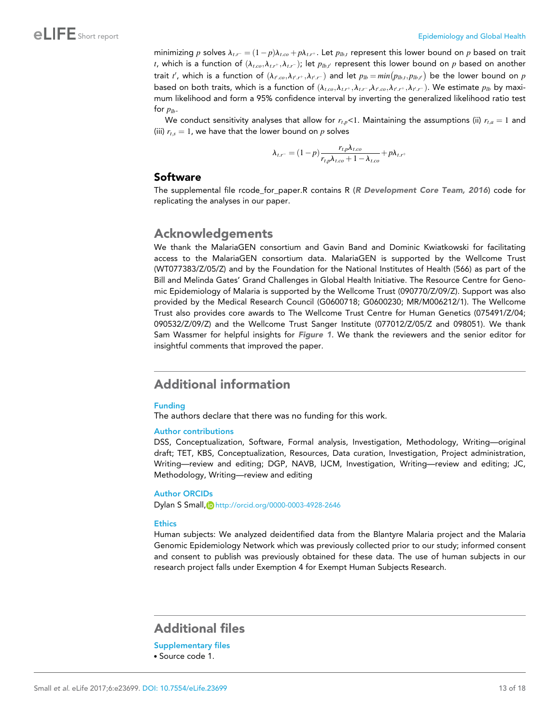<span id="page-12-0"></span>minimizing  $p$  solves  $\lambda_{t,r} = (1-p)\lambda_{t,co} + p\lambda_{t,r^+}$ . Let  $p_{lb,t}$  represent this lower bound on  $p$  based on trait t, which is a function of  $(\lambda_{t.co},\lambda_{t.r^+},\lambda_{t.r^-})$ ; let  $p_{lb,t'}$  represent this lower bound on  $p$  based on another trait  $t'$ , which is a function of  $(\lambda_{t',co},\lambda_{t',r^+},\lambda_{t',r^-})$  and let  $p_{lb}=min\big(p_{lb,t},p_{lb,t'}\big)$  be the lower bound on  $p$ based on both traits, which is a function of  $(\lambda_{t.co},\lambda_{t.r^+},\lambda_{t.r^-},\lambda_{t'.co},\lambda_{t'.r^+},\lambda_{t'.r^-}).$  We estimate  $p_{lb}$  by maximum likelihood and form a 95% confidence interval by inverting the generalized likelihood ratio test for  $p_{lh}$ .

We conduct sensitivity analyses that allow for  $r_{t,p}$ <1. Maintaining the assumptions (ii)  $r_{t,a} = 1$  and (iii)  $r_{t,s} = 1$ , we have that the lower bound on p solves

$$
\lambda_{t.r^{-}} = (1-p)\frac{r_{t,p}\lambda_{t.co}}{r_{t,p}\lambda_{t.co} + 1 - \lambda_{t.co}} + p\lambda_{t.r^{+}}
$$

#### **Software**

The supplemental file rcode\_for\_paper.R contains R ([R Development Core Team, 2016](#page-14-0)) code for replicating the analyses in our paper.

# Acknowledgements

We thank the MalariaGEN consortium and Gavin Band and Dominic Kwiatkowski for facilitating access to the MalariaGEN consortium data. MalariaGEN is supported by the Wellcome Trust (WT077383/Z/05/Z) and by the Foundation for the National Institutes of Health (566) as part of the Bill and Melinda Gates' Grand Challenges in Global Health Initiative. The Resource Centre for Genomic Epidemiology of Malaria is supported by the Wellcome Trust (090770/Z/09/Z). Support was also provided by the Medical Research Council (G0600718; G0600230; MR/M006212/1). The Wellcome Trust also provides core awards to The Wellcome Trust Centre for Human Genetics (075491/Z/04; 090532/Z/09/Z) and the Wellcome Trust Sanger Institute (077012/Z/05/Z and 098051). We thank Sam Wassmer for helpful insights for [Figure 1](#page-3-0). We thank the reviewers and the senior editor for insightful comments that improved the paper.

# Additional information

#### Funding

The authors declare that there was no funding for this work.

#### Author contributions

DSS, Conceptualization, Software, Formal analysis, Investigation, Methodology, Writing—original draft; TET, KBS, Conceptualization, Resources, Data curation, Investigation, Project administration, Writing—review and editing; DGP, NAVB, IJCM, Investigation, Writing—review and editing; JC, Methodology, Writing—review and editing

#### Author ORCIDs

Dylan S Small, **b** <http://orcid.org/0000-0003-4928-2646>

#### **Ethics**

Human subjects: We analyzed deidentified data from the Blantyre Malaria project and the Malaria Genomic Epidemiology Network which was previously collected prior to our study; informed consent and consent to publish was previously obtained for these data. The use of human subjects in our research project falls under Exemption 4 for Exempt Human Subjects Research.

# Additional files

Supplementary files

. Source code 1.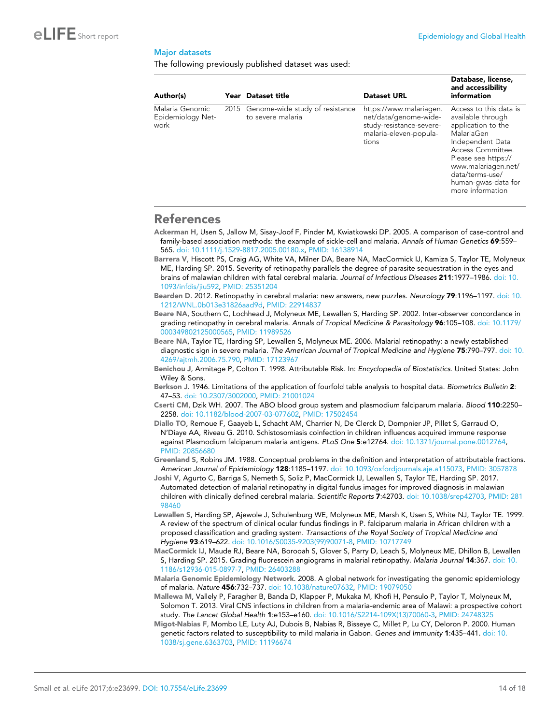#### <span id="page-13-0"></span>Major datasets

The following previously published dataset was used:

| Author(s)                                    | Year Dataset title                                        | <b>Dataset URL</b>                                                                                              | Database, license,<br>and accessibility<br>information                                                                                                                                                                               |
|----------------------------------------------|-----------------------------------------------------------|-----------------------------------------------------------------------------------------------------------------|--------------------------------------------------------------------------------------------------------------------------------------------------------------------------------------------------------------------------------------|
| Malaria Genomic<br>Epidemiology Net-<br>work | 2015 Genome-wide study of resistance<br>to severe malaria | https://www.malariagen.<br>net/data/genome-wide-<br>study-resistance-severe-<br>malaria-eleven-popula-<br>tions | Access to this data is<br>available through<br>application to the<br>MalariaGen<br>Independent Data<br>Access Committee.<br>Please see https://<br>www.malariagen.net/<br>data/terms-use/<br>human-gwas-data for<br>more information |

## References

Ackerman H, Usen S, Jallow M, Sisay-Joof F, Pinder M, Kwiatkowski DP. 2005. A comparison of case-control and family-based association methods: the example of sickle-cell and malaria. *Annals of Human Genetics* 69:559– 565. [doi: 10.1111/j.1529-8817.2005.00180.x,](http://dx.doi.org/10.1111/j.1529-8817.2005.00180.x) PMID: [16138914](http://www.ncbi.nlm.nih.gov/pubmed/16138914)

Barrera V, Hiscott PS, Craig AG, White VA, Milner DA, Beare NA, MacCormick IJ, Kamiza S, Taylor TE, Molyneux ME, Harding SP. 2015. Severity of retinopathy parallels the degree of parasite sequestration in the eyes and brains of malawian children with fatal cerebral malaria. *Journal of Infectious Diseases* 211:1977–1986. [doi: 10.](http://dx.doi.org/10.1093/infdis/jiu592) [1093/infdis/jiu592](http://dx.doi.org/10.1093/infdis/jiu592), PMID: [25351204](http://www.ncbi.nlm.nih.gov/pubmed/25351204)

Bearden D. 2012. Retinopathy in cerebral malaria: new answers, new puzzles. *Neurology* 79:1196–1197. [doi: 10.](http://dx.doi.org/10.1212/WNL.0b013e31826aad9d) [1212/WNL.0b013e31826aad9d](http://dx.doi.org/10.1212/WNL.0b013e31826aad9d), PMID: [22914837](http://www.ncbi.nlm.nih.gov/pubmed/22914837)

Beare NA, Southern C, Lochhead J, Molyneux ME, Lewallen S, Harding SP. 2002. Inter-observer concordance in grading retinopathy in cerebral malaria. *Annals of Tropical Medicine & Parasitology* 96:105–108. [doi: 10.1179/](http://dx.doi.org/10.1179/000349802125000565) [000349802125000565](http://dx.doi.org/10.1179/000349802125000565), PMID: [11989526](http://www.ncbi.nlm.nih.gov/pubmed/11989526)

Beare NA, Taylor TE, Harding SP, Lewallen S, Molyneux ME. 2006. Malarial retinopathy: a newly established diagnostic sign in severe malaria. *The American Journal of Tropical Medicine and Hygiene* 75:790–797. [doi: 10.](http://dx.doi.org/10.4269/ajtmh.2006.75.790) [4269/ajtmh.2006.75.790](http://dx.doi.org/10.4269/ajtmh.2006.75.790), PMID: [17123967](http://www.ncbi.nlm.nih.gov/pubmed/17123967)

Benichou J, Armitage P, Colton T. 1998. Attributable Risk. In: *Encyclopedia of Biostatistics*. United States: John Wiley & Sons.

Berkson J. 1946. Limitations of the application of fourfold table analysis to hospital data. *Biometrics Bulletin* 2: 47–53. [doi: 10.2307/3002000,](http://dx.doi.org/10.2307/3002000) PMID: [21001024](http://www.ncbi.nlm.nih.gov/pubmed/21001024)

Cserti CM, Dzik WH. 2007. The ABO blood group system and plasmodium falciparum malaria. *Blood* 110:2250– 2258. [doi: 10.1182/blood-2007-03-077602,](http://dx.doi.org/10.1182/blood-2007-03-077602) PMID: [17502454](http://www.ncbi.nlm.nih.gov/pubmed/17502454)

Diallo TO, Remoue F, Gaayeb L, Schacht AM, Charrier N, De Clerck D, Dompnier JP, Pillet S, Garraud O, N'Diaye AA, Riveau G. 2010. Schistosomiasis coinfection in children influences acquired immune response against Plasmodium falciparum malaria antigens. *PLoS One* 5:e12764. [doi: 10.1371/journal.pone.0012764](http://dx.doi.org/10.1371/journal.pone.0012764), PMID: [20856680](http://www.ncbi.nlm.nih.gov/pubmed/20856680)

Greenland S, Robins JM. 1988. Conceptual problems in the definition and interpretation of attributable fractions. *American Journal of Epidemiology* 128:1185–1197. [doi: 10.1093/oxfordjournals.aje.a115073,](http://dx.doi.org/10.1093/oxfordjournals.aje.a115073) PMID: [3057878](http://www.ncbi.nlm.nih.gov/pubmed/3057878)

Joshi V, Agurto C, Barriga S, Nemeth S, Soliz P, MacCormick IJ, Lewallen S, Taylor TE, Harding SP. 2017. Automated detection of malarial retinopathy in digital fundus images for improved diagnosis in malawian children with clinically defined cerebral malaria. *Scientific Reports* 7:42703. [doi: 10.1038/srep42703,](http://dx.doi.org/10.1038/srep42703) PMID: [281](http://www.ncbi.nlm.nih.gov/pubmed/28198460) [98460](http://www.ncbi.nlm.nih.gov/pubmed/28198460)

Lewallen S, Harding SP, Ajewole J, Schulenburg WE, Molyneux ME, Marsh K, Usen S, White NJ, Taylor TE. 1999. A review of the spectrum of clinical ocular fundus findings in P. falciparum malaria in African children with a proposed classification and grading system. *Transactions of the Royal Society of Tropical Medicine and Hygiene* 93:619–622. [doi: 10.1016/S0035-9203\(99\)90071-8,](http://dx.doi.org/10.1016/S0035-9203(99)90071-8) PMID: [10717749](http://www.ncbi.nlm.nih.gov/pubmed/10717749)

MacCormick IJ, Maude RJ, Beare NA, Borooah S, Glover S, Parry D, Leach S, Molyneux ME, Dhillon B, Lewallen S, Harding SP. 2015. Grading fluorescein angiograms in malarial retinopathy. *Malaria Journal* 14:367. [doi: 10.](http://dx.doi.org/10.1186/s12936-015-0897-7) [1186/s12936-015-0897-7](http://dx.doi.org/10.1186/s12936-015-0897-7), PMID: [26403288](http://www.ncbi.nlm.nih.gov/pubmed/26403288)

Malaria Genomic Epidemiology Network. 2008. A global network for investigating the genomic epidemiology of malaria. *Nature* 456:732–737. [doi: 10.1038/nature07632](http://dx.doi.org/10.1038/nature07632), PMID: [19079050](http://www.ncbi.nlm.nih.gov/pubmed/19079050)

- Mallewa M, Vallely P, Faragher B, Banda D, Klapper P, Mukaka M, Khofi H, Pensulo P, Taylor T, Molyneux M, Solomon T. 2013. Viral CNS infections in children from a malaria-endemic area of Malawi: a prospective cohort study. *The Lancet Global Health* 1:e153–e160. [doi: 10.1016/S2214-109X\(13\)70060-3,](http://dx.doi.org/10.1016/S2214-109X(13)70060-3) PMID: [24748325](http://www.ncbi.nlm.nih.gov/pubmed/24748325)
- Migot-Nabias F, Mombo LE, Luty AJ, Dubois B, Nabias R, Bisseye C, Millet P, Lu CY, Deloron P. 2000. Human genetic factors related to susceptibility to mild malaria in Gabon. *Genes and Immunity* 1:435–441. [doi: 10.](http://dx.doi.org/10.1038/sj.gene.6363703) [1038/sj.gene.6363703,](http://dx.doi.org/10.1038/sj.gene.6363703) PMID: [11196674](http://www.ncbi.nlm.nih.gov/pubmed/11196674)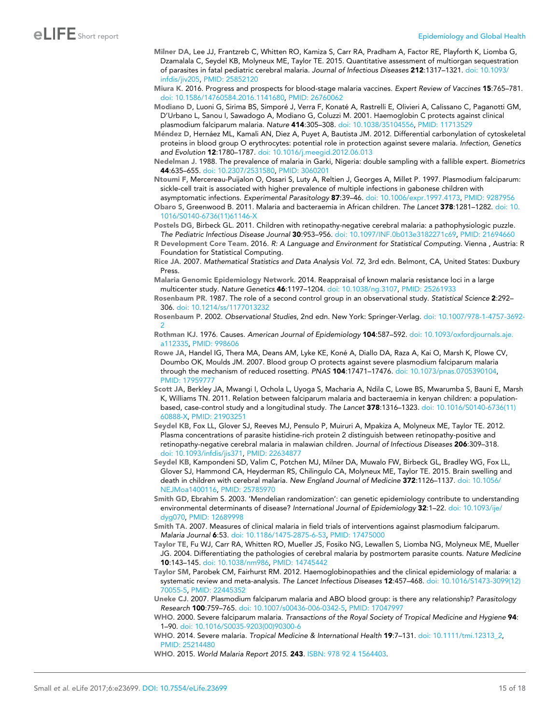- <span id="page-14-0"></span>Milner DA, Lee JJ, Frantzreb C, Whitten RO, Kamiza S, Carr RA, Pradham A, Factor RE, Playforth K, Liomba G, Dzamalala C, Seydel KB, Molyneux ME, Taylor TE. 2015. Quantitative assessment of multiorgan sequestration of parasites in fatal pediatric cerebral malaria. *Journal of Infectious Diseases* 212:1317–1321. [doi: 10.1093/](http://dx.doi.org/10.1093/infdis/jiv205) [infdis/jiv205](http://dx.doi.org/10.1093/infdis/jiv205), PMID: [25852120](http://www.ncbi.nlm.nih.gov/pubmed/25852120)
- Miura K. 2016. Progress and prospects for blood-stage malaria vaccines. *Expert Review of Vaccines* 15:765–781. [doi: 10.1586/14760584.2016.1141680,](http://dx.doi.org/10.1586/14760584.2016.1141680) PMID: [26760062](http://www.ncbi.nlm.nih.gov/pubmed/26760062)
- Modiano D, Luoni G, Sirima BS, Simporé J, Verra F, Konaté A, Rastrelli E, Olivieri A, Calissano C, Paganotti GM, D'Urbano L, Sanou I, Sawadogo A, Modiano G, Coluzzi M. 2001. Haemoglobin C protects against clinical plasmodium falciparum malaria. *Nature* 414:305–308. [doi: 10.1038/35104556,](http://dx.doi.org/10.1038/35104556) PMID: [11713529](http://www.ncbi.nlm.nih.gov/pubmed/11713529)
- Méndez D, Hernáez ML, Kamali AN, Diez A, Puyet A, Bautista JM. 2012. Differential carbonylation of cytoskeletal proteins in blood group O erythrocytes: potential role in protection against severe malaria. *Infection, Genetics and Evolution* 12:1780–1787. [doi: 10.1016/j.meegid.2012.06.013](http://dx.doi.org/10.1016/j.meegid.2012.06.013)
- Nedelman J. 1988. The prevalence of malaria in Garki, Nigeria: double sampling with a fallible expert. *Biometrics* 44:635–655. [doi: 10.2307/2531580](http://dx.doi.org/10.2307/2531580), PMID: [3060201](http://www.ncbi.nlm.nih.gov/pubmed/3060201)
- Ntoumi F, Mercereau-Puijalon O, Ossari S, Luty A, Reltien J, Georges A, Millet P. 1997. Plasmodium falciparum: sickle-cell trait is associated with higher prevalence of multiple infections in gabonese children with asymptomatic infections. *Experimental Parasitology* 87:39–46. [doi: 10.1006/expr.1997.4173](http://dx.doi.org/10.1006/expr.1997.4173), PMID: [9287956](http://www.ncbi.nlm.nih.gov/pubmed/9287956)

Obaro S, Greenwood B. 2011. Malaria and bacteraemia in African children. *The Lancet* 378:1281–1282. [doi: 10.](http://dx.doi.org/10.1016/S0140-6736(11)61146-X) [1016/S0140-6736\(11\)61146-X](http://dx.doi.org/10.1016/S0140-6736(11)61146-X)

Postels DG, Birbeck GL. 2011. Children with retinopathy-negative cerebral malaria: a pathophysiologic puzzle. *The Pediatric Infectious Disease Journal* 30:953–956. [doi: 10.1097/INF.0b013e3182271c69,](http://dx.doi.org/10.1097/INF.0b013e3182271c69) PMID: [21694660](http://www.ncbi.nlm.nih.gov/pubmed/21694660)

R Development Core Team. 2016. *R: A Language and Environment for Statistical Computing*. Vienna , Austria: R Foundation for Statistical Computing.

- Rice JA. 2007. *Mathematical Statistics and Data Analysis Vol. 72*, 3rd edn. Belmont, CA, United States: Duxbury Press.
- Malaria Genomic Epidemiology Network. 2014. Reappraisal of known malaria resistance loci in a large multicenter study. *Nature Genetics* 46:1197–1204. [doi: 10.1038/ng.3107,](http://dx.doi.org/10.1038/ng.3107) PMID: [25261933](http://www.ncbi.nlm.nih.gov/pubmed/25261933)
- Rosenbaum PR. 1987. The role of a second control group in an observational study. *Statistical Science* 2:292– 306. [doi: 10.1214/ss/1177013232](http://dx.doi.org/10.1214/ss/1177013232)
- Rosenbaum P. 2002. *Observational Studies*, 2nd edn. New York: Springer-Verlag. [doi: 10.1007/978-1-4757-3692-](http://dx.doi.org/10.1007/978-1-4757-3692-2)  $\overline{2}$  $\overline{2}$  $\overline{2}$
- Rothman KJ. 1976. Causes. *American Journal of Epidemiology* 104:587–592. [doi: 10.1093/oxfordjournals.aje.](http://dx.doi.org/10.1093/oxfordjournals.aje.a112335) [a112335,](http://dx.doi.org/10.1093/oxfordjournals.aje.a112335) PMID: [998606](http://www.ncbi.nlm.nih.gov/pubmed/998606)
- Rowe JA, Handel IG, Thera MA, Deans AM, Lyke KE, Koné A, Diallo DA, Raza A, Kai O, Marsh K, Plowe CV, Doumbo OK, Moulds JM. 2007. Blood group O protects against severe plasmodium falciparum malaria through the mechanism of reduced rosetting. *PNAS* 104:17471–17476. [doi: 10.1073/pnas.0705390104](http://dx.doi.org/10.1073/pnas.0705390104), PMID: [17959777](http://www.ncbi.nlm.nih.gov/pubmed/17959777)
- Scott JA, Berkley JA, Mwangi I, Ochola L, Uyoga S, Macharia A, Ndila C, Lowe BS, Mwarumba S, Bauni E, Marsh K, Williams TN. 2011. Relation between falciparum malaria and bacteraemia in kenyan children: a populationbased, case-control study and a longitudinal study. *The Lancet* 378:1316–1323. [doi: 10.1016/S0140-6736\(11\)](http://dx.doi.org/10.1016/S0140-6736(11)60888-X) [60888-X](http://dx.doi.org/10.1016/S0140-6736(11)60888-X), PMID: [21903251](http://www.ncbi.nlm.nih.gov/pubmed/21903251)
- Seydel KB, Fox LL, Glover SJ, Reeves MJ, Pensulo P, Muiruri A, Mpakiza A, Molyneux ME, Taylor TE. 2012. Plasma concentrations of parasite histidine-rich protein 2 distinguish between retinopathy-positive and retinopathy-negative cerebral malaria in malawian children. *Journal of Infectious Diseases* 206:309–318. [doi: 10.1093/infdis/jis371](http://dx.doi.org/10.1093/infdis/jis371), PMID: [22634877](http://www.ncbi.nlm.nih.gov/pubmed/22634877)
- Seydel KB, Kampondeni SD, Valim C, Potchen MJ, Milner DA, Muwalo FW, Birbeck GL, Bradley WG, Fox LL, Glover SJ, Hammond CA, Heyderman RS, Chilingulo CA, Molyneux ME, Taylor TE. 2015. Brain swelling and death in children with cerebral malaria. *New England Journal of Medicine* 372:1126–1137. [doi: 10.1056/](http://dx.doi.org/10.1056/NEJMoa1400116) [NEJMoa1400116](http://dx.doi.org/10.1056/NEJMoa1400116), PMID: [25785970](http://www.ncbi.nlm.nih.gov/pubmed/25785970)
- Smith GD, Ebrahim S. 2003. 'Mendelian randomization': can genetic epidemiology contribute to understanding environmental determinants of disease? *International Journal of Epidemiology* 32:1–22. [doi: 10.1093/ije/](http://dx.doi.org/10.1093/ije/dyg070) [dyg070](http://dx.doi.org/10.1093/ije/dyg070), PMID: [12689998](http://www.ncbi.nlm.nih.gov/pubmed/12689998)
- Smith TA. 2007. Measures of clinical malaria in field trials of interventions against plasmodium falciparum. *Malaria Journal* 6:53. [doi: 10.1186/1475-2875-6-53,](http://dx.doi.org/10.1186/1475-2875-6-53) PMID: [17475000](http://www.ncbi.nlm.nih.gov/pubmed/17475000)
- Taylor TE, Fu WJ, Carr RA, Whitten RO, Mueller JS, Fosiko NG, Lewallen S, Liomba NG, Molyneux ME, Mueller JG. 2004. Differentiating the pathologies of cerebral malaria by postmortem parasite counts. *Nature Medicine* 10:143–145. [doi: 10.1038/nm986,](http://dx.doi.org/10.1038/nm986) PMID: [14745442](http://www.ncbi.nlm.nih.gov/pubmed/14745442)
- Taylor SM, Parobek CM, Fairhurst RM. 2012. Haemoglobinopathies and the clinical epidemiology of malaria: a systematic review and meta-analysis. *The Lancet Infectious Diseases* 12:457–468. [doi: 10.1016/S1473-3099\(12\)](http://dx.doi.org/10.1016/S1473-3099(12)70055-5) [70055-5](http://dx.doi.org/10.1016/S1473-3099(12)70055-5), PMID: [22445352](http://www.ncbi.nlm.nih.gov/pubmed/22445352)
- Uneke CJ. 2007. Plasmodium falciparum malaria and ABO blood group: is there any relationship? *Parasitology Research* 100:759–765. [doi: 10.1007/s00436-006-0342-5](http://dx.doi.org/10.1007/s00436-006-0342-5), PMID: [17047997](http://www.ncbi.nlm.nih.gov/pubmed/17047997)
- WHO. 2000. Severe falciparum malaria. *Transactions of the Royal Society of Tropical Medicine and Hygiene* 94: 1–90. [doi: 10.1016/S0035-9203\(00\)90300-6](http://dx.doi.org/10.1016/S0035-9203(00)90300-6)
- WHO. 2014. Severe malaria. *Tropical Medicine & International Health* 19:7–131. [doi: 10.1111/tmi.12313\\_2](http://dx.doi.org/10.1111/tmi.12313_2), PMID: [25214480](http://www.ncbi.nlm.nih.gov/pubmed/25214480)

WHO. 2015. *World Malaria Report 2015*. 243. ISBN: 978 92 4 1564403.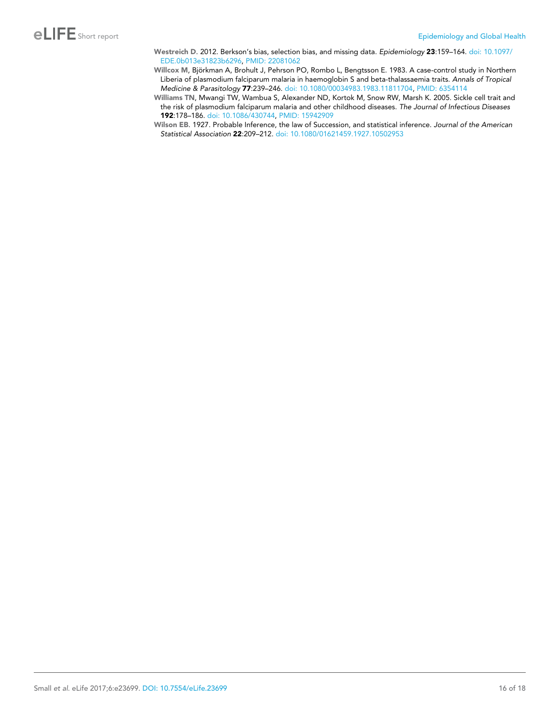- <span id="page-15-0"></span>Westreich D. 2012. Berkson's bias, selection bias, and missing data. *Epidemiology* 23:159–164. [doi: 10.1097/](http://dx.doi.org/10.1097/EDE.0b013e31823b6296) [EDE.0b013e31823b6296](http://dx.doi.org/10.1097/EDE.0b013e31823b6296), PMID: [22081062](http://www.ncbi.nlm.nih.gov/pubmed/22081062)
- Willcox M, Björkman A, Brohult J, Pehrson PO, Rombo L, Bengtsson E. 1983. A case-control study in Northern Liberia of plasmodium falciparum malaria in haemoglobin S and beta-thalassaemia traits. *Annals of Tropical Medicine & Parasitology* 77:239–246. [doi: 10.1080/00034983.1983.11811704](http://dx.doi.org/10.1080/00034983.1983.11811704), PMID: [6354114](http://www.ncbi.nlm.nih.gov/pubmed/6354114)
- Williams TN, Mwangi TW, Wambua S, Alexander ND, Kortok M, Snow RW, Marsh K. 2005. Sickle cell trait and the risk of plasmodium falciparum malaria and other childhood diseases. *The Journal of Infectious Diseases* 192:178–186. [doi: 10.1086/430744,](http://dx.doi.org/10.1086/430744) PMID: [15942909](http://www.ncbi.nlm.nih.gov/pubmed/15942909)
- Wilson EB. 1927. Probable Inference, the law of Succession, and statistical inference. *Journal of the American Statistical Association* 22:209–212. [doi: 10.1080/01621459.1927.10502953](http://dx.doi.org/10.1080/01621459.1927.10502953)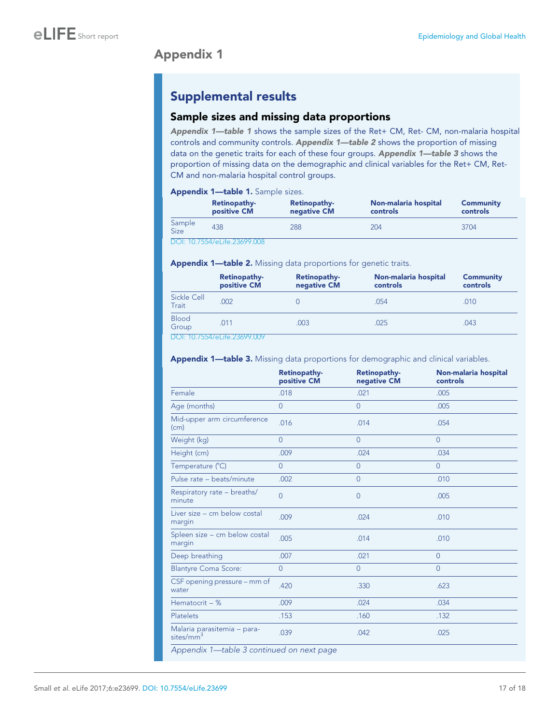# Appendix 1

# Supplemental results

## Sample sizes and missing data proportions

Appendix 1-table 1 shows the sample sizes of the Ret+ CM, Ret- CM, non-malaria hospital controls and community controls. Appendix 1—table 2 shows the proportion of missing data on the genetic traits for each of these four groups. Appendix 1-table 3 shows the proportion of missing data on the demographic and clinical variables for the Ret+ CM, Ret-CM and non-malaria hospital control groups.

#### Appendix 1—table 1. Sample sizes.

|                       | Retinopathy-<br>positive CM  | Retinopathy-<br>negative CM | Non-malaria hospital<br>controls | Community<br>controls |
|-----------------------|------------------------------|-----------------------------|----------------------------------|-----------------------|
| Sample<br><b>Size</b> | 438                          | 288                         | 204                              | 3704                  |
|                       | DOI: 10.7554/eLife.23699.008 |                             |                                  |                       |

Appendix 1-table 2. Missing data proportions for genetic traits.

|                       | Retinopathy-<br>positive CM | Retinopathy-<br>negative CM | Non-malaria hospital<br>controls | <b>Community</b><br>controls |
|-----------------------|-----------------------------|-----------------------------|----------------------------------|------------------------------|
| Sickle Cell<br>Trait  | .002                        |                             | .054                             | .010                         |
| <b>Blood</b><br>Group | .011                        | .003                        | .025                             | .043                         |
|                       | DOL. 107EEMLL1:1.20200000   |                             |                                  |                              |

[DOI: 10.7554/eLife.23699.009](http://dx.doi.org/10.7554/eLife.23699.009Appendix%201&x2014;table%202.Missing%20data%20proportions%20for%20genetic%20traits.%2010.7554/eLife.23699.009Retinopathy-positive%20CMRetinopathy-negative%20CMNon-malaria%20hospital%20controlsCommunity%20controlsSickle%20Cell%20Trait.0020.054.010Blood%20Group.011.003.025.043)

#### Appendix 1-table 3. Missing data proportions for demographic and clinical variables.

|                                                      | <b>Retinopathy-</b><br>positive CM | <b>Retinopathy-</b><br>negative CM | Non-malaria hospital<br>controls |
|------------------------------------------------------|------------------------------------|------------------------------------|----------------------------------|
| Female                                               | .018                               | .021                               | .005                             |
| Age (months)                                         | $\overline{0}$                     | $\Omega$                           | .005                             |
| Mid-upper arm circumference<br>(cm)                  | .016                               | .014                               | .054                             |
| Weight (kg)                                          | $\overline{0}$                     | $\overline{0}$                     | $\Omega$                         |
| Height (cm)                                          | .009                               | .024                               | .034                             |
| Temperature (°C)                                     | $\Omega$                           | $\Omega$                           | $\Omega$                         |
| Pulse rate - beats/minute                            | .002                               | $\overline{0}$                     | .010                             |
| Respiratory rate - breaths/<br>minute                | $\overline{0}$                     | $\overline{0}$                     | .005                             |
| Liver size – cm below costal<br>margin               | .009                               | .024                               | .010                             |
| Spleen size - cm below costal<br>margin              | .005                               | .014                               | .010                             |
| Deep breathing                                       | .007                               | .021                               | $\Omega$                         |
| <b>Blantyre Coma Score:</b>                          | $\Omega$                           | $\Omega$                           | $\Omega$                         |
| CSF opening pressure – mm of<br>water                | .420                               | .330                               | .623                             |
| Hematocrit - %                                       | .009                               | .024                               | .034                             |
| <b>Platelets</b>                                     | .153                               | .160                               | .132                             |
| Malaria parasitemia – para-<br>sites/mm <sup>3</sup> | .039                               | .042                               | .025                             |
| Annopolis 1 table 2 continued on nost page           |                                    |                                    |                                  |

Appendix 1—table 3 continued on next page